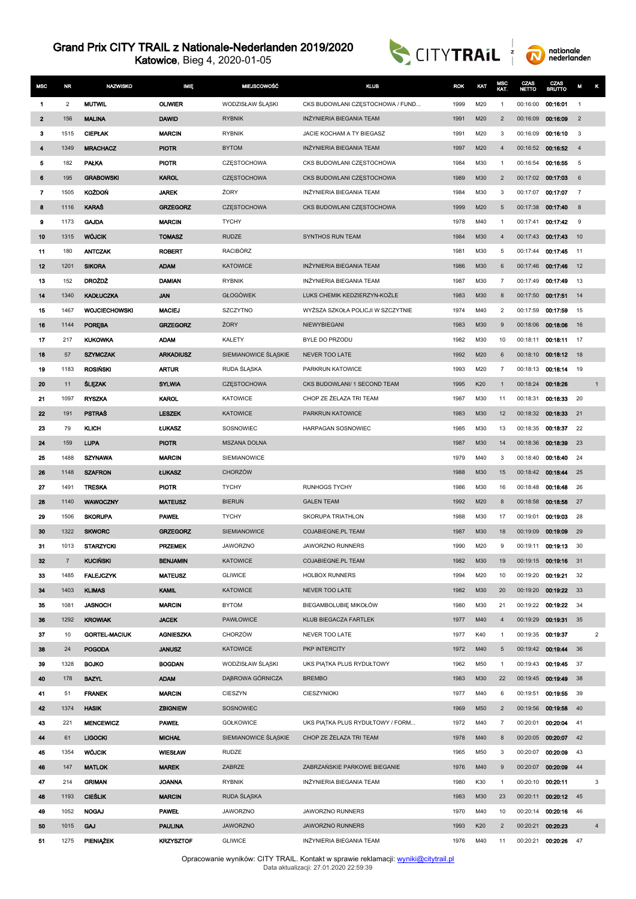Katowice, Bieg 4, 2020-01-05





| <b>MSC</b>   | NR             | <b>NAZWISKO</b>      | <b>IMIE</b>      | <b>MIEJSCOWOŚĆ</b>   | <b>KLUB</b>                       | <b>ROK</b> | KAT | MSC<br>KAT.    | CZAS<br><b>NETTO</b> | CZAS<br><b>BRUTTO</b> | М              | κ              |
|--------------|----------------|----------------------|------------------|----------------------|-----------------------------------|------------|-----|----------------|----------------------|-----------------------|----------------|----------------|
| 1            | 2              | <b>MUTWIL</b>        | <b>OLIWIER</b>   | WODZISŁAW ŚLĄSKI     | CKS BUDOWLANI CZESTOCHOWA / FUND  | 1999       | M20 | 1              | 00:16:00             | 00:16:01              | $\mathbf{1}$   |                |
| $\mathbf{2}$ | 156            | <b>MALINA</b>        | <b>DAWID</b>     | <b>RYBNIK</b>        | INŻYNIERIA BIEGANIA TEAM          | 1991       | M20 | $\overline{2}$ | 00:16:09             | 00:16:09              | $\overline{2}$ |                |
| з            | 1515           | <b>CIEPLAK</b>       | <b>MARCIN</b>    | <b>RYBNIK</b>        | JACIE KOCHAM A TY BIEGASZ         | 1991       | M20 | 3              | 00:16:09             | 00:16:10              | 3              |                |
| 4            | 1349           | <b>MRACHACZ</b>      | <b>PIOTR</b>     | <b>BYTOM</b>         | INZYNIERIA BIEGANIA TEAM          | 1997       | M20 | 4              | 00:16:52             | 00:16:52              | $\overline{4}$ |                |
| 5            | 182            | <b>PALKA</b>         | <b>PIOTR</b>     | CZESTOCHOWA          | CKS BUDOWLANI CZĘSTOCHOWA         | 1984       | M30 | 1              | 00:16:54             | 00:16:55              | 5              |                |
| 6            | 195            | <b>GRABOWSKI</b>     | <b>KAROL</b>     | <b>CZESTOCHOWA</b>   | CKS BUDOWLANI CZĘSTOCHOWA         | 1989       | M30 | $\overline{2}$ | 00:17:02             | 00:17:03              | 6              |                |
| 7            | 1505           | <b>KOŻDOŃ</b>        | <b>JAREK</b>     | ŻORY                 | INŻYNIERIA BIEGANIA TEAM          | 1984       | M30 | 3              | 00:17:07             | 00:17:07              | $\overline{7}$ |                |
| 8            | 1116           | <b>KARAS</b>         | <b>GRZEGORZ</b>  | <b>CZESTOCHOWA</b>   | CKS BUDOWLANI CZĘSTOCHOWA         | 1999       | M20 | 5              | 00:17:38             | 00:17:40              | 8              |                |
| 9            | 1173           | <b>GAJDA</b>         | <b>MARCIN</b>    | <b>TYCHY</b>         |                                   | 1978       | M40 | $\mathbf{1}$   | 00:17:41             | 00:17:42              | 9              |                |
| 10           | 1315           | <b>WÓJCIK</b>        | <b>TOMASZ</b>    | <b>RUDZE</b>         | SYNTHOS RUN TEAM                  | 1984       | M30 | 4              | 00:17:43             | 00:17:43              | 10             |                |
| 11           | 180            | <b>ANTCZAK</b>       | <b>ROBERT</b>    | <b>RACIBÓRZ</b>      |                                   | 1981       | M30 | 5              | 00:17:44             | 00:17:45              | 11             |                |
| 12           | 1201           | <b>SIKORA</b>        | <b>ADAM</b>      | <b>KATOWICE</b>      | INŻYNIERIA BIEGANIA TEAM          | 1986       | M30 | 6              | 00:17:46             | 00:17:46              | 12             |                |
| 13           | 152            | <b>DROŻDŻ</b>        | <b>DAMIAN</b>    | <b>RYBNIK</b>        | INŻYNIERIA BIEGANIA TEAM          | 1987       | M30 | 7              | 00:17:49             | 00:17:49              | 13             |                |
| 14           | 1340           | <b>KADŁUCZKA</b>     | <b>JAN</b>       | <b>GŁOGÓWEK</b>      | LUKS CHEMIK KEDZIERZYN-KOŻLE      | 1983       | M30 | 8              | 00:17:50             | 00:17:51              | 14             |                |
| 15           | 1467           | <b>WOJCIECHOWSKI</b> | <b>MACIEJ</b>    | <b>SZCZYTNO</b>      | WYŻSZA SZKOŁA POLICJI W SZCZYTNIE | 1974       | M40 | 2              | 00:17:59             | 00:17:59              | 15             |                |
| 16           | 1144           | POREBA               | <b>GRZEGORZ</b>  | ŻORY                 | NIEWYBIEGANI                      | 1983       | M30 | 9              | 00:18:06             | 00:18:06              | 16             |                |
| 17           | 217            | <b>KUKOWKA</b>       | <b>ADAM</b>      | <b>KALETY</b>        | BYLE DO PRZODU                    | 1982       | M30 | 10             | 00:18:11             | 00:18:11              | 17             |                |
| 18           | 57             | <b>SZYMCZAK</b>      | <b>ARKADIUSZ</b> | SIEMIANOWICE ŚLĄSKIE | NEVER TOO LATE                    | 1992       | M20 | 6              | 00:18:10             | 00:18:12              | 18             |                |
| 19           | 1183           | <b>ROSIŃSKI</b>      | <b>ARTUR</b>     | RUDA SLASKA          | PARKRUN KATOWICE                  | 1993       | M20 | $\overline{7}$ | 00:18:13             | 00:18:14              | 19             |                |
| 20           | 11             | <b>SLEZAK</b>        | <b>SYLWIA</b>    | <b>CZESTOCHOWA</b>   | CKS BUDOWLANI/ 1 SECOND TEAM      | 1995       | K20 | $\mathbf{1}$   | 00:18:24             | 00:18:26              |                | $\overline{1}$ |
| 21           | 1097           | <b>RYSZKA</b>        | <b>KAROL</b>     | <b>KATOWICE</b>      | CHOP ZE ŻELAZA TRI TEAM           | 1987       | M30 | 11             | 00:18:31             | 00:18:33              | 20             |                |
| 22           | 191            | <b>PSTRAS</b>        | <b>LESZEK</b>    | <b>KATOWICE</b>      | PARKRUN KATOWICE                  | 1983       | M30 | 12             | 00:18:32             | 00:18:33              | 21             |                |
| 23           | 79             | <b>KLICH</b>         | <b>LUKASZ</b>    | SOSNOWIEC            | HARPAGAN SOSNOWIEC                | 1985       | M30 | 13             | 00:18:35             | 00:18:37              | 22             |                |
| 24           | 159            | <b>LUPA</b>          | <b>PIOTR</b>     | MSZANA DOLNA         |                                   | 1987       | M30 | 14             | 00:18:36             | 00:18:39              | 23             |                |
| 25           | 1488           | SZYNAWA              | <b>MARCIN</b>    | SIEMIANOWICE         |                                   | 1979       | M40 | 3              | 00:18:40             | 00:18:40              | 24             |                |
| 26           | 1148           | <b>SZAFRON</b>       | <b>LUKASZ</b>    | <b>CHORZÓW</b>       |                                   | 1988       | M30 | 15             | 00:18:42             | 00:18:44              | 25             |                |
| 27           | 1491           | <b>TRESKA</b>        | <b>PIOTR</b>     | <b>TYCHY</b>         | <b>RUNHOGS TYCHY</b>              | 1986       | M30 | 16             | 00:18:48             | 00:18:48              | 26             |                |
| 28           | 1140           | <b>WAWOCZNY</b>      | <b>MATEUSZ</b>   | <b>BIERUŃ</b>        | <b>GALEN TEAM</b>                 | 1992       | M20 | 8              | 00:18:58             | 00:18:58              | 27             |                |
| 29           | 1506           | <b>SKORUPA</b>       | <b>PAWEL</b>     | <b>TYCHY</b>         | SKORUPA TRIATHLON                 | 1988       | M30 | 17             | 00:19:01             | 00:19:03              | 28             |                |
| 30           | 1322           | <b>SKWORC</b>        | <b>GRZEGORZ</b>  | <b>SIEMIANOWICE</b>  | COJABIEGNE.PL TEAM                | 1987       | M30 | 18             | 00:19:09             | 00:19:09              | 29             |                |
| 31           | 1013           | <b>STARZYCKI</b>     | <b>PRZEMEK</b>   | <b>JAWORZNO</b>      | JAWORZNO RUNNERS                  | 1990       | M20 | 9              | 00:19:11             | 00:19:13              | 30             |                |
| 32           | $\overline{7}$ | <b>KUCIŃSKI</b>      | <b>BENJAMIN</b>  | <b>KATOWICE</b>      | COJABIEGNE.PL TEAM                | 1982       | M30 | 19             |                      | 00:19:15 00:19:16     | 31             |                |
| 33           | 1485           | <b>FALEJCZYK</b>     | <b>MATEUSZ</b>   | <b>GLIWICE</b>       | <b>HOLBOX RUNNERS</b>             | 1994       | M20 | 10             | 00:19:20 00:19:21    |                       | 32             |                |
| 34           | 1403           | <b>KLIMAS</b>        | <b>KAMIL</b>     | <b>KATOWICE</b>      | NEVER TOO LATE                    | 1982       | M30 | 20             |                      | 00:19:20 00:19:22     | 33             |                |
| 35           | 1081           | <b>JASNOCH</b>       | <b>MARCIN</b>    | <b>BYTOM</b>         | BIEGAMBOLUBIĘ MIKOŁÓW             | 1980       | M30 | 21             | 00:19:22             | 00:19:22              | 34             |                |
| 36           | 1292           | <b>KROWIAK</b>       | <b>JACEK</b>     | <b>PAWŁOWICE</b>     | KLUB BIEGACZA FARTLEK             | 1977       | M40 | $\overline{4}$ | 00:19:29             | 00:19:31              | 35             |                |
| 37           | 10             | <b>GORTEL-MACIUK</b> | <b>AGNIESZKA</b> | <b>CHORZÓW</b>       | NEVER TOO LATE                    | 1977       | K40 | 1              | 00:19:35 00:19:37    |                       |                | $\overline{2}$ |
| 38           | 24             | <b>POGODA</b>        | <b>JANUSZ</b>    | <b>KATOWICE</b>      | PKP INTERCITY                     | 1972       | M40 | 5              |                      | 00:19:42 00:19:44     | 36             |                |
| 39           | 1328           | <b>BOJKO</b>         | <b>BOGDAN</b>    | WODZISŁAW ŚLĄSKI     | UKS PIĄTKA PLUS RYDUŁTOWY         | 1962       | M50 | 1              | 00:19:43             | 00:19:45              | 37             |                |
| 40           | 178            | <b>BAZYL</b>         | <b>ADAM</b>      | DĄBROWA GÓRNICZA     | <b>BREMBO</b>                     | 1983       | M30 | 22             | 00:19:45             | 00:19:49              | 38             |                |
| 41           | 51             | <b>FRANEK</b>        | <b>MARCIN</b>    | CIESZYN              | CIESZYNIOKI                       | 1977       | M40 | 6              | 00:19:51             | 00:19:55              | 39             |                |
| 42           | 1374           | <b>HASIK</b>         | <b>ZBIGNIEW</b>  | SOSNOWIEC            |                                   | 1969       | M50 | $\overline{2}$ | 00:19:56             | 00:19:58              | 40             |                |
| 43           | 221            | <b>MENCEWICZ</b>     | <b>PAWEL</b>     | <b>GOŁKOWICE</b>     | UKS PIATKA PLUS RYDUŁTOWY / FORM  | 1972       | M40 | $\overline{7}$ | 00:20:01             | 00:20:04              | 41             |                |
| 44           | 61             | <b>LIGOCKI</b>       | <b>MICHAL</b>    | SIEMIANOWICE ŚLĄSKIE | CHOP ZE ŻELAZA TRI TEAM           | 1978       | M40 | 8              | 00:20:05             | 00:20:07              | 42             |                |
| 45           | 1354           | <b>WOJCIK</b>        | <b>WIESŁAW</b>   | <b>RUDZE</b>         |                                   | 1965       | M50 | 3              | 00:20:07             | 00:20:09              | 43             |                |
| 46           | 147            | <b>MATLOK</b>        | <b>MAREK</b>     | ZABRZE               | ZABRZAŃSKIE PARKOWE BIEGANIE      | 1976       | M40 | 9              | 00:20:07             | 00:20:09              | 44             |                |
| 47           | 214            | <b>GRIMAN</b>        | <b>JOANNA</b>    | <b>RYBNIK</b>        | INŻYNIERIA BIEGANIA TEAM          | 1980       | K30 | $\mathbf{1}$   | 00:20:10             | 00:20:11              |                | 3              |
| 48           | 1193           | <b>CIEŚLIK</b>       | <b>MARCIN</b>    | RUDA ŚLĄSKA          |                                   | 1983       | M30 | 23             | 00:20:11             | 00:20:12 45           |                |                |
| 49           | 1052           | <b>NOGAJ</b>         | <b>PAWEL</b>     | <b>JAWORZNO</b>      | JAWORZNO RUNNERS                  | 1970       | M40 | 10             | 00:20:14             | 00:20:16              | 46             |                |
| 50           | 1015           | <b>GAJ</b>           | <b>PAULINA</b>   | <b>JAWORZNO</b>      | JAWORZNO RUNNERS                  | 1993       | K20 | $\overline{2}$ | 00:20:21             | 00:20:23              |                | $\overline{4}$ |
| 51           | 1275           | PIENIĄŻEK            | <b>KRZYSZTOF</b> | <b>GLIWICE</b>       | INŻYNIERIA BIEGANIA TEAM          | 1976       | M40 | 11             |                      | 00:20:21 00:20:26 47  |                |                |

Data aktualizacji: 27.01.2020 22:59:39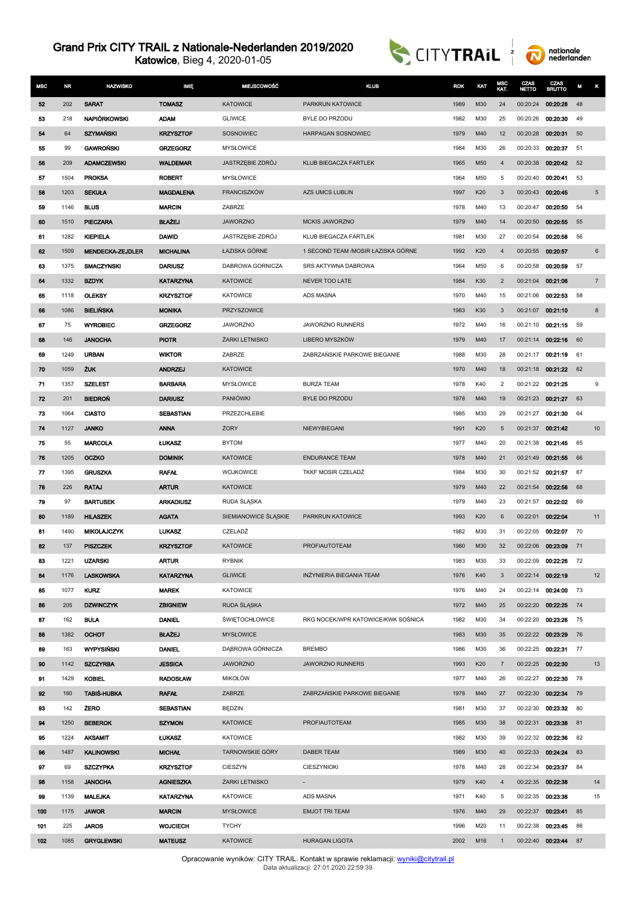Katowice, Bieg 4, 2020-01-05





| <b>MSC</b> | <b>NR</b> | <b>NAZWISKO</b>         | <b>IMIE</b>      | <b>MIEJSCOWOŚĆ</b>      | <b>KLUB</b>                        | <b>ROK</b> | KAT | MSC<br>KAT.    | CZAS<br>ΝΕΠΟ      | CZAS<br><b>BRUTTO</b> | м  | κ               |
|------------|-----------|-------------------------|------------------|-------------------------|------------------------------------|------------|-----|----------------|-------------------|-----------------------|----|-----------------|
| 52         | 202       | <b>SARAT</b>            | <b>TOMASZ</b>    | <b>KATOWICE</b>         | PARKRUN KATOWICE                   | 1989       | M30 | 24             | 00:20:24          | 00:20:28              | 48 |                 |
| 53         | 218       | NAPIÓRKOWSKI            | <b>ADAM</b>      | <b>GLIWICE</b>          | BYLE DO PRZODU                     | 1982       | M30 | 25             | 00:20:26          | 00:20:30              | 49 |                 |
| 54         | 64        | <b>SZYMAŃSKI</b>        | <b>KRZYSZTOF</b> | SOSNOWIEC               | HARPAGAN SOSNOWIEC                 | 1979       | M40 | 12             | 00:20:28          | 00:20:31              | 50 |                 |
| 55         | 99        | <b>GAWROŃSKI</b>        | <b>GRZEGORZ</b>  | <b>MYSŁOWICE</b>        |                                    | 1984       | M30 | 26             | 00:20:33          | 00:20:37              | 51 |                 |
| 56         | 209       | <b>ADAMCZEWSKI</b>      | <b>WALDEMAR</b>  | <b>JASTRZEBIE ZDRÓJ</b> | KLUB BIEGACZA FARTLEK              | 1965       | M50 | $\overline{4}$ | 00:20:38          | 00:20:42              | 52 |                 |
| 57         | 1504      | <b>PROKSA</b>           | <b>ROBERT</b>    | <b>MYSŁOWICE</b>        |                                    | 1964       | M50 | 5              | 00:20:40          | 00:20:41              | 53 |                 |
| 58         | 1203      | <b>SEKUŁA</b>           | <b>MAGDALENA</b> | FRANCISZKÓW             | <b>AZS UMCS LUBLIN</b>             | 1997       | K20 | 3              | 00:20:43          | 00:20:45              |    | $5\phantom{.0}$ |
| 59         | 1146      | <b>BLUS</b>             | <b>MARCIN</b>    | ZABRZE                  |                                    | 1978       | M40 | 13             | 00:20:47          | 00:20:50              | 54 |                 |
| 60         | 1510      | PIECZARA                | <b>BŁAŻEJ</b>    | <b>JAWORZNO</b>         | <b>MCKIS JAWORZNO</b>              | 1979       | M40 | 14             | 00:20:50          | 00:20:55              | 55 |                 |
| 61         | 1282      | <b>KIEPIELA</b>         | <b>DAWID</b>     | JASTRZĘBIE-ZDRÓJ        | KLUB BIEGACZA FARTLEK              | 1981       | M30 | 27             | 00:20:54          | 00:20:58              | 56 |                 |
| 62         | 1509      | <b>MENDECKA-ZEJDLER</b> | <b>MICHALINA</b> | ŁAZISKA GÓRNE           | 1 SECOND TEAM /MOSIR ŁAZISKA GÓRNE | 1992       | K20 | $\overline{4}$ | 00:20:55          | 00:20:57              |    | $\,6$           |
| 63         | 1375      | <b>SMACZYNSKI</b>       | <b>DARIUSZ</b>   | DABROWA GORNICZA        | SRS AKTYWNA DABROWA                | 1964       | M50 | 6              | 00:20:58          | 00:20:59              | 57 |                 |
| 64         | 1332      | <b>BZDYK</b>            | <b>KATARZYNA</b> | <b>KATOWICE</b>         | NEVER TOO LATE                     | 1984       | K30 | $\overline{2}$ | 00:21:04          | 00:21:06              |    | $\overline{7}$  |
| 65         | 1118      | <b>OLEKSY</b>           | <b>KRZYSZTOF</b> | <b>KATOWICE</b>         | ADS MASNA                          | 1970       | M40 | 15             | 00:21:06          | 00:22:53              | 58 |                 |
| 66         | 1086      | <b>BIELIŃSKA</b>        | <b>MONIKA</b>    | <b>PRZYSZOWICE</b>      |                                    | 1983       | K30 | $\mathbf{3}$   | 00:21:07          | 00:21:10              |    | 8               |
| 67         | 75        | <b>WYROBIEC</b>         | <b>GRZEGORZ</b>  | <b>JAWORZNO</b>         | JAWORZNO RUNNERS                   | 1972       | M40 | 16             | 00:21:10          | 00:21:15              | 59 |                 |
| 68         | 146       | <b>JANOCHA</b>          | <b>PIOTR</b>     | ŻARKI LETNISKO          | LIBERO MYSZKÓW                     | 1979       | M40 | 17             | 00:21:14          | 00:22:16              | 60 |                 |
| 69         | 1249      | <b>URBAN</b>            | <b>WIKTOR</b>    | ZABRZE                  | ZABRZAŃSKIE PARKOWE BIEGANIE       | 1988       | M30 | 28             | 00:21:17          | 00:21:19              | 61 |                 |
| 70         | 1059      | <b>ZUK</b>              | <b>ANDRZEJ</b>   | <b>KATOWICE</b>         |                                    | 1970       | M40 | 18             | 00:21:18          | 00:21:22              | 62 |                 |
| 71         | 1357      | <b>SZELEST</b>          | <b>BARBARA</b>   | <b>MYSŁOWICE</b>        | <b>BURZA TEAM</b>                  | 1978       | K40 | $\overline{2}$ | 00:21:22          | 00:21:25              |    | 9               |
| 72         | 201       | <b>BIEDROŃ</b>          | <b>DARIUSZ</b>   | PANIÓWKI                | <b>BYLE DO PRZODU</b>              | 1978       | M40 | 19             | 00:21:23          | 00:21:27              | 63 |                 |
| 73         | 1064      | <b>CIASTO</b>           | <b>SEBASTIAN</b> | PRZEZCHLEBIE            |                                    | 1985       | M30 | 29             | 00:21:27          | 00:21:30              | 64 |                 |
| 74         | 1127      | <b>JANKO</b>            | <b>ANNA</b>      | ŻORY                    | NIEWYBIEGANI                       | 1991       | K20 | 5              | 00:21:37          | 00:21:42              |    | 10              |
| 75         | 55        | <b>MARCOLA</b>          | <b>LUKASZ</b>    | <b>BYTOM</b>            |                                    | 1977       | M40 | 20             | 00:21:38          | 00:21:45              | 65 |                 |
| 76         | 1205      | <b>OCZKO</b>            | <b>DOMINIK</b>   | <b>KATOWICE</b>         | <b>ENDURANCE TEAM</b>              | 1978       | M40 | 21             | 00:21:49          | 00:21:55              | 66 |                 |
| 77         | 1395      | <b>GRUSZKA</b>          | <b>RAFAL</b>     | <b>WOJKOWICE</b>        | TKKF MOSIR CZELADŻ                 | 1984       | M30 | 30             | 00:21:52          | 00:21:57              | 67 |                 |
| 78         | 226       | <b>RATAJ</b>            | <b>ARTUR</b>     | <b>KATOWICE</b>         |                                    | 1979       | M40 | 22             | 00:21:54          | 00:22:56              | 68 |                 |
| 79         | 97        | <b>BARTUSEK</b>         | <b>ARKADIUSZ</b> | RUDA ŚLĄSKA             |                                    | 1979       | M40 | 23             | 00:21:57          | 00:22:02              | 69 |                 |
| 80         | 1189      | <b>HILASZEK</b>         | <b>AGATA</b>     | SIEMIANOWICE SLASKIE    | PARKRUN KATOWICE                   | 1993       | K20 | 6              | 00:22:01          | 00:22:04              |    | 11              |
| 81         | 1490      | <b>MIKOLAJCZYK</b>      | <b>LUKASZ</b>    | CZELADŹ                 |                                    | 1982       | M30 | 31             | 00:22:05          | 00:22:07              | 70 |                 |
| 82         | 137       | <b>PISZCZEK</b>         | <b>KRZYSZTOF</b> | <b>KATOWICE</b>         | PROFIAUTOTEAM                      | 1980       | M30 | 32             | 00:22:06 00:23:09 |                       | 71 |                 |
| 83         | 1221      | <b>UZARSKI</b>          | <b>ARTUR</b>     | <b>RYBNIK</b>           |                                    | 1983       | M30 | 33             | 00:22:09          | 00:22:26              | 72 |                 |
| 84         | 1176      | <b>LASKOWSKA</b>        | <b>KATARZYNA</b> | <b>GLIWICE</b>          | INŻYNIERIA BIEGANIA TEAM           | 1976       | K40 | $\mathbf{3}$   | 00:22:14          | 00:22:19              |    | 12              |
| 85         | 1077      | <b>KURZ</b>             | <b>MAREK</b>     | <b>KATOWICE</b>         |                                    | 1976       | M40 | 24             | 00:22:14          | 00:24:00              | 73 |                 |
| 86         | 205       | <b>DZWINCZYK</b>        | <b>ZBIGNIEW</b>  | RUDA ŚLĄSKA             |                                    | 1972       | M40 | 25             | 00:22:20          | 00:22:25              | 74 |                 |
| 87         | 162       | <b>BULA</b>             | <b>DANIEL</b>    | <b>ŚWIĘTOCHŁOWICE</b>   | RKG NOCEK/WPR KATOWICE/KWK SOŚNICA | 1982       | M30 | 34             | 00:22:20          | 00:23:26              | 75 |                 |
| 88         | 1382      | ОСНОТ                   | <b>BLAZEJ</b>    | <b>MYSŁOWICE</b>        |                                    | 1983       | M30 | 35             | 00:22:22          | 00:23:29              | 76 |                 |
| 89         | 163       | <b>WYPYSINSKI</b>       | <b>DANIEL</b>    | DABROWA GÓRNICZA        | <b>BREMBO</b>                      | 1986       | M30 | 36             | 00:22:25          | 00:22:31              | 77 |                 |
| 90         | 1142      | <b>SZCZYRBA</b>         | <b>JESSICA</b>   | <b>JAWORZNO</b>         | <b>JAWORZNO RUNNERS</b>            | 1993       | K20 | $\overline{7}$ | 00:22:25          | 00:22:30              |    | 13              |
| 91         | 1429      | <b>KOBIEL</b>           | <b>RADOSŁAW</b>  | <b>MIKOŁÓW</b>          |                                    | 1977       | M40 | 26             | 00:22:27          | 00:22:30              | 78 |                 |
| 92         | 160       | <b>TABIŚ-HUBKA</b>      | <b>RAFAL</b>     | ZABRZE                  | ZABRZAŃSKIE PARKOWE BIEGANIE       | 1978       | M40 | 27             | 00:22:30          | 00:22:34              | 79 |                 |
| 93         | 142       | <b>ZERO</b>             | <b>SEBASTIAN</b> | <b>BEDZIN</b>           |                                    | 1981       | M30 | 37             | 00:22:30          | 00.23.32              | 80 |                 |
| 94         | 1250      | <b>BEBEROK</b>          | <b>SZYMON</b>    | <b>KATOWICE</b>         | PROFIAUTOTEAM                      | 1985       | M30 | 38             | 00:22:31          | 00:23:38              | 81 |                 |
| 95         | 1224      | <b>AKSAMIT</b>          | <b>LUKASZ</b>    | <b>KATOWICE</b>         |                                    | 1982       | M30 | 39             | 00:22:32          | 00:22:36              | 82 |                 |
| 96         | 1487      | <b>KALINOWSKI</b>       | <b>MICHAL</b>    | <b>TARNOWSKIE GÓRY</b>  | <b>DABER TEAM</b>                  | 1989       | M30 | 40             | 00:22:33          | 00:24:24              | 83 |                 |
| 97         | 69        | <b>SZCZYPKA</b>         | <b>KRZYSZTOF</b> | CIESZYN                 | CIESZYNIOKI                        | 1978       | M40 | 28             | 00:22:34          | 00:23:37              | 84 |                 |
| 98         | 1158      | <b>JANOCHA</b>          | <b>AGNIESZKA</b> | ŻARKI LETNISKO          |                                    | 1979       | K40 | $\overline{4}$ | 00:22:35          | 00:22:38              |    | 14              |
| 99         | 1139      | <b>MALEJKA</b>          | <b>KATARZYNA</b> | <b>KATOWICE</b>         | ADS MASNA                          | 1971       | K40 | 5              | 00:22:35          | 00.23:38              |    | 15              |
| 100        | 1175      | <b>JAWOR</b>            | <b>MARCIN</b>    | <b>MYSŁOWICE</b>        | <b>EMJOT TRI TEAM</b>              | 1976       | M40 | 29             | 00:22:37          | 00:23:41              | 85 |                 |
| 101        | 225       | <b>JAROS</b>            | <b>WOJCIECH</b>  | <b>TYCHY</b>            |                                    | 1996       | M20 | 11             | 00:22:38          | 00:23:45              | 86 |                 |
| 102        | 1085      | <b>GRYGLEWSKI</b>       | <b>MATEUSZ</b>   | <b>KATOWICE</b>         | <b>HURAGAN LIGOTA</b>              | 2002       | M16 | $\overline{1}$ |                   | 00:22:40 00:23:44 87  |    |                 |

Opracowanie wyników: CITY TRAIL. Kontakt w sprawie reklamacji: <u>[wyniki@citytrail.pl](mailto: wyniki@citytrail.pl)</u><br>Data aktualizacji: 27.01.2020 22:59:39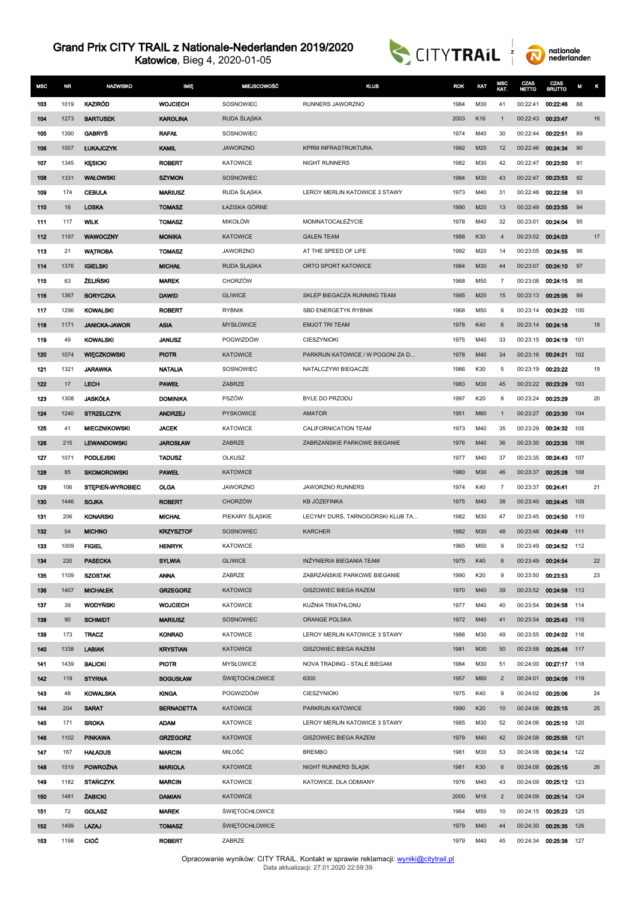Katowice, Bieg 4, 2020-01-05





| <b>MSC</b> | <b>NR</b> | <b>NAZWISKO</b>      | <b>IMIE</b>       | <b>MIEJSCOWOŚĆ</b>    | <b>KLUB</b>                      | <b>ROK</b> | KAT | MSC<br>KAT.    | CZAS<br><b>NETTO</b> | <b>CZAS</b><br>BRUTTO | M   | κ  |
|------------|-----------|----------------------|-------------------|-----------------------|----------------------------------|------------|-----|----------------|----------------------|-----------------------|-----|----|
| 103        | 1019      | KAZIRÓD              | <b>WOJCIECH</b>   | SOSNOWIEC             | RUNNERS JAWORZNO                 | 1984       | M30 | 41             | 00:22:41             | 00:22:46              | 88  |    |
| 104        | 1273      | <b>BARTUSEK</b>      | <b>KAROLINA</b>   | RUDA SLĄSKA           |                                  | 2003       | K16 | $\mathbf{1}$   | 00:22:43             | 00:23:47              |     | 16 |
| 105        | 1390      | <b>GABRYS</b>        | <b>RAFAL</b>      | SOSNOWIEC             |                                  | 1974       | M40 | 30             | 00:22:44             | 00:22:51              | 89  |    |
| 106        | 1007      | <b>ŁUKAJCZYK</b>     | <b>KAMIL</b>      | <b>JAWORZNO</b>       | KPRM INFRASTRUKTURA.             | 1992       | M20 | 12             | 00:22:46             | 00:24:34              | 90  |    |
| 107        | 1345      | <b>KESICKI</b>       | <b>ROBERT</b>     | <b>KATOWICE</b>       | <b>NIGHT RUNNERS</b>             | 1982       | M30 | 42             | 00:22:47             | 00:23:50              | 91  |    |
| 108        | 1331      | <b>WAŁOWSKI</b>      | <b>SZYMON</b>     | SOSNOWIEC             |                                  | 1984       | M30 | 43             | 00:22:47             | 00:23:53              | 92  |    |
| 109        | 174       | <b>CEBULA</b>        | <b>MARIUSZ</b>    | RUDA SLASKA           | LEROY MERLIN KATOWICE 3 STAWY    | 1973       | M40 | 31             | 00:22:48             | 00:22:58              | 93  |    |
| 110        | 16        | <b>LOSKA</b>         | <b>TOMASZ</b>     | ŁAZISKA GÓRNE         |                                  | 1990       | M20 | 13             | 00:22:49             | 00:23:55              | 94  |    |
| 111        | 117       | <b>WILK</b>          | <b>TOMASZ</b>     | <b>MIKOŁÓW</b>        | MOMNATOCAŁEŻYCIE                 | 1978       | M40 | 32             | 00:23:01             | 00:24:04              | 95  |    |
| 112        | 1197      | <b>WAWOCZNY</b>      | <b>MONIKA</b>     | <b>KATOWICE</b>       | <b>GALEN TEAM</b>                | 1988       | K30 | $\overline{4}$ | 00:23:02 00:24:03    |                       |     | 17 |
| 113        | 21        | <b>WATROBA</b>       | <b>TOMASZ</b>     | <b>JAWORZNO</b>       | AT THE SPEED OF LIFE             | 1992       | M20 | 14             | 00:23:05             | 00:24:55              | 96  |    |
| 114        | 1376      | <b>IGIELSKI</b>      | <b>MICHAL</b>     | RUDA SLĄSKA           | ORTO SPORT KATOWICE              | 1984       | M30 | 44             | 00:23:07             | 00:24:10              | 97  |    |
| 115        | 63        | <b>ŻELIŃSKI</b>      | <b>MAREK</b>      | <b>CHORZÓW</b>        |                                  | 1968       | M50 | $\overline{7}$ | 00:23:08             | 00:24:15              | 98  |    |
| 116        | 1367      | <b>BORYCZKA</b>      | <b>DAWID</b>      | <b>GLIWICE</b>        | SKLEP BIEGACZA RUNNING TEAM      | 1995       | M20 | 15             | 00:23:13             | 00:25:05              | 99  |    |
| 117        | 1296      | <b>KOWALSKI</b>      | <b>ROBERT</b>     | <b>RYBNIK</b>         | SBD ENERGETYK RYBNIK             | 1968       | M50 | 8              | 00:23:14             | 00:24:22              | 100 |    |
| 118        | 1171      | <b>JANICKA-JAWOR</b> | <b>ASIA</b>       | <b>MYSŁOWICE</b>      | <b>EMJOT TRI TEAM</b>            | 1978       | K40 | 6              | 00:23:14             | 00:24:18              |     | 18 |
| 119        | 49        | <b>KOWALSKI</b>      | <b>JANUSZ</b>     | POGWIZDÓW             | CIESZYNIOKI                      | 1975       | M40 | 33             |                      | 00:23:15 00:24:19     | 101 |    |
| 120        | 1074      | <b>WIECZKOWSKI</b>   | <b>PIOTR</b>      | <b>KATOWICE</b>       | PARKRUN KATOWICE / W POGONI ZA D | 1978       | M40 | 34             | 00:23:16             | 00:24:21              | 102 |    |
| 121        | 1321      | JARAWKA              | <b>NATALIA</b>    | SOSNOWIEC             | NATALCZYWI BIEGACZE              | 1986       | K30 | 5              | 00:23:19             | 00:23:22              |     | 19 |
| 122        | 17        | <b>LECH</b>          | <b>PAWEL</b>      | ZABRZE                |                                  | 1983       | M30 | 45             |                      | 00:23:22 00:23:29     | 103 |    |
| 123        | 1308      | JASKÓŁA              | <b>DOMINIKA</b>   | PSZÓW                 | BYLE DO PRZODU                   | 1997       | K20 | 8              | 00:23:24             | 00:23:29              |     | 20 |
| 124        | 1240      | <b>STRZELCZYK</b>    | <b>ANDRZEJ</b>    | PYSKOWICE             | AMATOR                           | 1951       | M60 | $\mathbf{1}$   | 00:23:27             | 00:23:30              | 104 |    |
| 125        | 41        | <b>MIECZNIKOWSKI</b> | <b>JACEK</b>      | <b>KATOWICE</b>       | CALIFORNICATION TEAM             | 1973       | M40 | 35             | 00:23:29             | 00:24:32              | 105 |    |
| 126        | 215       | <b>LEWANDOWSKI</b>   | <b>JAROSŁAW</b>   | ZABRZE                | ZABRZAŃSKIE PARKOWE BIEGANIE     | 1976       | M40 | 36             | 00:23:30             | 00:23:35              | 106 |    |
| 127        | 1071      | <b>PODLEJSKI</b>     | <b>TADUSZ</b>     | OLKUSZ                |                                  | 1977       | M40 | 37             | 00:23:35             | 00:24:43              | 107 |    |
| 128        | 85        | <b>SKOMOROWSKI</b>   | <b>PAWEL</b>      | <b>KATOWICE</b>       |                                  | 1980       | M30 | 46             | 00:23:37             | 00:25:28              | 108 |    |
| 129        | 106       | STEPIEŃ-WYROBIEC     | <b>OLGA</b>       | <b>JAWORZNO</b>       | JAWORZNO RUNNERS                 | 1974       | K40 | 7              | 00:23:37             | 00:24:41              |     | 21 |
| 130        | 1446      | <b>SOJKA</b>         | <b>ROBERT</b>     | <b>CHORZÓW</b>        | KB JÓZEFINKA                     | 1975       | M40 | 38             | 00:23:40             | 00:24:45              | 109 |    |
| 131        | 206       | <b>KONARSKI</b>      | <b>MICHAL</b>     | PIEKARY ŚLĄSKIE       | LECYMY DURŚ, TARNOGÓRSKI KLUB TA | 1982       | M30 | 47             | 00:23:45             | 00:24:50              | 110 |    |
| 132        | 54        | <b>MICHNO</b>        | <b>KRZYSZTOF</b>  | SOSNOWIEC             | <b>KARCHER</b>                   | 1982       | M30 | 48             | 00:23:48             | 00:24:49              | 111 |    |
| 133        | 1009      | <b>FIGIEL</b>        | <b>HENRYK</b>     | <b>KATOWICE</b>       |                                  | 1965       | M50 | 9              | 00:23:49             | 00:24:52              | 112 |    |
| 134        | 220       | <b>PASECKA</b>       | <b>SYLWIA</b>     | <b>GLIWICE</b>        | INZYNIERIA BIEGANIA TEAM         | 1975       | K40 | 8              | 00:23:49 00:24:54    |                       |     | 22 |
| 135        | 1109      | <b>SZOSTAK</b>       | <b>ANNA</b>       | ZABRZE                | ZABRZAŃSKIE PARKOWE BIEGANIE     | 1990       | K20 | 9              | 00:23:50             | 00:23:53              |     | 23 |
| 136        | 1407      | <b>MICHALEK</b>      | <b>GRZEGORZ</b>   | <b>KATOWICE</b>       | GISZOWIEC BIEGA RAZEM            | 1970       | M40 | 39             | 00:23:52             | 00:24:58              | 113 |    |
| 137        | 39        | WODYŃSKI             | <b>WOJCIECH</b>   | <b>KATOWICE</b>       | KUŹNIA TRIATHLONU                | 1977       | M40 | 40             | 00:23:54             | 00:24:58              | 114 |    |
| 138        | 90        | <b>SCHMIDT</b>       | <b>MARIUSZ</b>    | SOSNOWIEC             | ORANGE POLSKA                    | 1972       | M40 | 41             | 00:23:54             | 00:25:43              | 115 |    |
| 139        | 173       | <b>TRACZ</b>         | <b>KONRAD</b>     | <b>KATOWICE</b>       | LEROY MERLIN KATOWICE 3 STAWY    | 1986       | M30 | 49             |                      | 00:23:55 00:24:02     | 116 |    |
| 140        | 1338      | <b>LABIAK</b>        | <b>KRYSTIAN</b>   | <b>KATOWICE</b>       | <b>GISZOWIEC BIEGA RAZEM</b>     | 1981       | M30 | 50             | 00:23:58 00:25:48    |                       | 117 |    |
| 141        | 1439      | <b>BALICKI</b>       | <b>PIOTR</b>      | <b>MYSŁOWICE</b>      | NOVA TRADING - STALE BIEGAM      | 1984       | M30 | 51             | 00:24:00             | 00:27:17              | 118 |    |
| 142        | 119       | <b>STYRNA</b>        | <b>BOGUSŁAW</b>   | <b>ŚWIĘTOCHŁOWICE</b> | 6300                             | 1957       | M60 | $\overline{2}$ | 00:24:01             | 00:24:08              | 119 |    |
| 143        | 48        | <b>KOWALSKA</b>      | <b>KINGA</b>      | POGWIZDÓW             | CIESZYNIOKI                      | 1975       | K40 | 9              | 00:24:02             | 00:25:06              |     | 24 |
| 144        | 204       | <b>SARAT</b>         | <b>BERNADETTA</b> | <b>KATOWICE</b>       | PARKRUN KATOWICE                 | 1990       | K20 | 10             | 00:24:06 00:25:15    |                       |     | 25 |
| 145        | 171       | <b>SROKA</b>         | <b>ADAM</b>       | <b>KATOWICE</b>       | LEROY MERLIN KATOWICE 3 STAWY    | 1985       | M30 | 52             | 00:24:06             | 00:25:10              | 120 |    |
| 146        | 1102      | <b>PINKAWA</b>       | <b>GRZEGORZ</b>   | <b>KATOWICE</b>       | GISZOWIEC BIEGA RAZEM            | 1979       | M40 | 42             | 00:24:08             | 00:25:55              | 121 |    |
| 147        | 167       | <b>HAŁADUS</b>       | <b>MARCIN</b>     | MIŁOŚĆ                | <b>BREMBO</b>                    | 1981       | M30 | 53             |                      | 00:24:08 00:24:14     | 122 |    |
| 148        | 1519      | <b>POWROŹNA</b>      | <b>MARIOLA</b>    | <b>KATOWICE</b>       | NIGHT RUNNERS SLASK              | 1981       | K30 | 6              | 00:24:08 00:25:15    |                       |     | 26 |
| 149        | 1182      | <b>STAŃCZYK</b>      | <b>MARCIN</b>     | <b>KATOWICE</b>       | KATOWICE. DLA ODMIANY            | 1976       | M40 | 43             | 00:24:09             | 00:25:12              | 123 |    |
| 150        | 1481      | <b>ZABICKI</b>       | <b>DAMIAN</b>     | <b>KATOWICE</b>       |                                  | 2000       | M16 | $\overline{2}$ | 00:24:09             | 00:25:14              | 124 |    |
| 151        | 72        | <b>GOLASZ</b>        | <b>MAREK</b>      | <b>ŚWIĘTOCHŁOWICE</b> |                                  | 1964       | M50 | 10             | 00:24:15             | 00:25:23              | 125 |    |
| 152        | 1499      | LAZAJ                | <b>TOMASZ</b>     | <b>ŚWIĘTOCHŁOWICE</b> |                                  | 1979       | M40 | 44             |                      | 00:24:30 00:25:35     | 126 |    |
| 153        | 1198      | <b>CIOC</b>          | <b>ROBERT</b>     | ZABRZE                |                                  | 1979       | M40 | 45             |                      | 00:24:34 00:25:38     | 127 |    |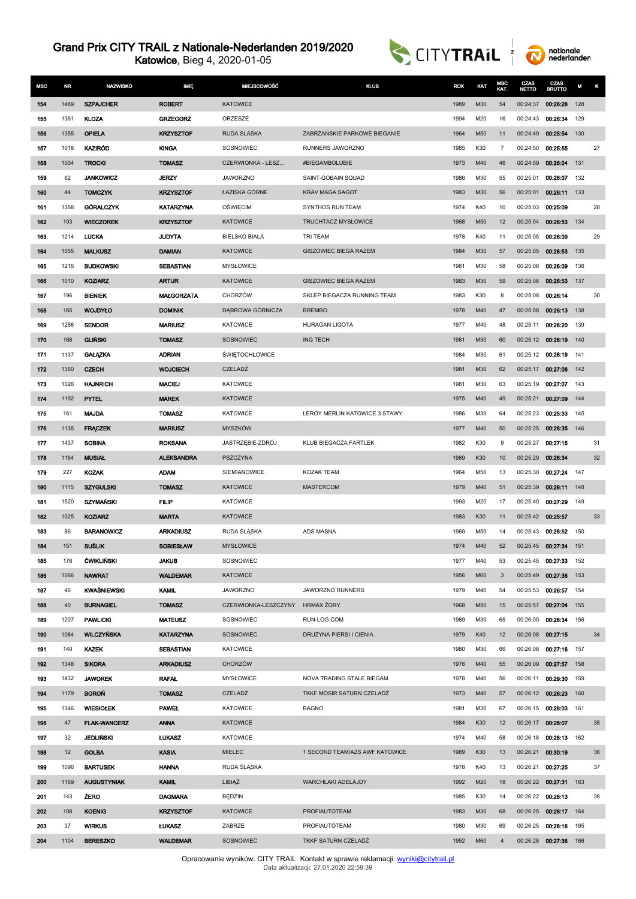Katowice, Bieg 4, 2020-01-05





| <b>MSC</b> | NR.       | <b>NAZWISKO</b>                | IMIĘ                              | MIEJSCOWOŚĆ               | <b>KLUB</b>                          | <b>ROK</b>   | KAT        | MSC<br>KAT.          | CZAS<br><b>NETTO</b> | CZAS<br><b>BRUTTO</b>         | M   | κ  |
|------------|-----------|--------------------------------|-----------------------------------|---------------------------|--------------------------------------|--------------|------------|----------------------|----------------------|-------------------------------|-----|----|
| 154        | 1489      | <b>SZPAJCHER</b>               | <b>ROBERT</b>                     | <b>KATOWICE</b>           |                                      | 1989         | M30        | 54                   | 00:24:37             | 00:26:28                      | 128 |    |
| 155        | 1361      | <b>KLOZA</b>                   | <b>GRZEGORZ</b>                   | ORZESZE                   |                                      | 1994         | M20        | 16                   | 00:24:43             | 00:26:34                      | 129 |    |
| 156        | 1355      | <b>OPIELA</b>                  | <b>KRZYSZTOF</b>                  | <b>RUDA SLASKA</b>        | ZABRZAŃSKIE PARKOWE BIEGANIE         | 1964         | M50        | 11                   | 00:24:49             | 00:25:54                      | 130 |    |
| 157        | 1018      | KAZIRÓD                        | <b>KINGA</b>                      | SOSNOWIEC                 | RUNNERS JAWORZNO                     | 1985         | K30        | 7                    | 00:24:50             | 00:25:55                      |     | 27 |
| 158        | 1004      | <b>TROCKI</b>                  | <b>TOMASZ</b>                     | CZERWIONKA - LESZ         | #BIEGAMBOLUBIE                       | 1973         | M40        | 46                   | 00:24:59             | 00:26:04                      | 131 |    |
| 159        | 62        | <b>JANKOWICZ</b>               | <b>JERZY</b>                      | <b>JAWORZNO</b>           | SAINT-GOBAIN SQUAD                   | 1986         | M30        | 55                   | 00:25:01             | 00:26:07                      | 132 |    |
| 160        | 44        | <b>TOMCZYK</b>                 | <b>KRZYSZTOF</b>                  | ŁAZISKA GÓRNE             | <b>KRAV MAGA SAGOT</b>               | 1983         | M30        | 56                   | 00:25:01             | 00:26:11                      | 133 |    |
| 161        | 1358      | <b>GÓRALCZYK</b>               | <b>KATARZYNA</b>                  | <b>OSWIECIM</b>           | SYNTHOS RUN TEAM                     | 1974         | K40        | 10                   | 00:25:03             | 00:25:09                      |     | 28 |
| 162        | 103       | <b>WIECZOREK</b>               | <b>KRZYSZTOF</b>                  | <b>KATOWICE</b>           | TRUCHTACZ MYSŁOWICE                  | 1968         | M50        | 12                   | 00:25:04             | 00:26:53                      | 134 |    |
| 163        | 1214      | <b>LUCKA</b>                   | <b>JUDYTA</b>                     | <b>BIELSKO BIAŁA</b>      | TRI TEAM                             | 1978         | K40        | 11                   | 00:25:05             | 00:26:09                      |     | 29 |
| 164        | 1055      | <b>MALKUSZ</b>                 | <b>DAMIAN</b>                     | <b>KATOWICE</b>           | GISZOWIEC BIEGA RAZEM                | 1984         | M30        | 57                   | 00:25:05             | 00:26:53                      | 135 |    |
| 165        | 1216      | <b>BUDKOWSKI</b>               | SEBASTIAN                         | <b>MYSŁOWICE</b>          |                                      | 1981         | M30        | 58                   | 00:25:06             | 00:26:09                      | 136 |    |
| 166        | 1010      | <b>KOZIARZ</b>                 | <b>ARTUR</b>                      | <b>KATOWICE</b>           | GISZOWIEC BIEGA RAZEM                | 1983         | M30        | 59                   | 00:25:06             | 00:26:53                      | 137 |    |
| 167        | 196       | <b>BIENIEK</b>                 | <b>MAŁGORZATA</b>                 | CHORZÓW                   | SKLEP BIEGACZA RUNNING TEAM          | 1983         | K30        | 8                    | 00:25:08             | 00:26:14                      |     | 30 |
| 168        | 165       | WOJDYŁO                        | <b>DOMINIK</b>                    | DĄBROWA GÓRNICZA          | <b>BREMBO</b>                        | 1978         | M40        | 47                   | 00:25:08             | 00:26:13                      | 138 |    |
| 169        | 1286      | <b>SENDOR</b>                  | <b>MARIUSZ</b>                    | <b>KATOWICE</b>           | <b>HURAGAN LIGOTA</b>                | 1977         | M40        | 48                   | 00:25:11             | 00:26:20                      | 139 |    |
| 170        | 168       | <b>GLINSKI</b>                 | <b>TOMASZ</b>                     | SOSNOWIEC                 | <b>ING TECH</b>                      | 1981         | M30        | 60                   | 00:25:12             | 00:26:19                      | 140 |    |
| 171        | 1137      | <b>GAŁAZKA</b>                 | <b>ADRIAN</b>                     | <b>SWIETOCHŁOWICE</b>     |                                      | 1984         | M30        | 61                   | 00:25:12             | 00:26:19                      | 141 |    |
| 172        | 1360      | <b>CZECH</b>                   | <b>WOJCIECH</b>                   | CZELADŹ                   |                                      | 1981         | M30        | 62                   | 00:25:17             | 00:27:08                      | 142 |    |
| 173        | 1026      | <b>HAJNRICH</b>                | <b>MACIEJ</b>                     | <b>KATOWICE</b>           |                                      | 1981         | M30        | 63                   | 00:25:19             | 00:27:07                      | 143 |    |
| 174        | 1192      | <b>PYTEL</b>                   | <b>MAREK</b>                      | <b>KATOWICE</b>           |                                      | 1975         | M40        | 49                   | 00:25:21             | 00:27:09                      | 144 |    |
| 175        | 161       | <b>MAJDA</b>                   | <b>TOMASZ</b>                     | <b>KATOWICE</b>           | LEROY MERLIN KATOWICE 3 STAWY        | 1986         | M30        | 64                   | 00:25:23             | 00:25:33                      | 145 |    |
| 176        | 1135      | <b>FRACZEK</b>                 | <b>MARIUSZ</b>                    | <b>MYSZKÓW</b>            |                                      | 1977         | M40        | 50                   | 00:25:25             | 00:26:35                      | 146 |    |
| 177        | 1437      | <b>SOBINA</b>                  | <b>ROKSANA</b>                    | JASTRZĘBIE-ZDRÓJ          | KLUB BIEGACZA FARTLEK                | 1982         | K30        | 9                    | 00:25:27             | 00:27:15                      |     | 31 |
| 178        | 1164      | <b>MUSIAŁ</b>                  | <b>ALEKSANDRA</b>                 | PSZCZYNA                  |                                      | 1989         | K30        | 10                   | 00:25:29             | 00:26:34                      |     | 32 |
| 179        | 227       | <b>KOZAK</b>                   | <b>ADAM</b>                       | SIEMIANOWICE              | KOZAK TEAM                           | 1964         | M50        | 13                   | 00:25:30             | 00:27:24                      | 147 |    |
| 180        | 1115      | <b>SZYGULSKI</b>               | <b>TOMASZ</b>                     | <b>KATOWICE</b>           | <b>MASTERCOM</b>                     | 1979         | M40        | 51                   | 00:25:39             | 00:28:11                      | 148 |    |
| 181        | 1520      | SZYMAŃSKI                      | <b>FILIP</b>                      | <b>KATOWICE</b>           |                                      | 1993         | M20        | 17                   | 00:25:40             | 00:27:29                      | 149 |    |
| 182        | 1025      | <b>KOZIARZ</b>                 | <b>MARTA</b>                      | <b>KATOWICE</b>           |                                      | 1983         | K30        | 11                   | 00:25:42             | 00:25:57                      |     | 33 |
| 183        | 86        | <b>BARANOWICZ</b>              | <b>ARKADIUSZ</b>                  | RUDA SLĄSKA               | ADS MASNA                            | 1969         | M50        | 14                   | 00:25:43             | 00:26:52                      | 150 |    |
| 184        | 151       | <b>SUŚLIK</b>                  | <b>SOBIESLAW</b>                  | <b>MYSŁOWICE</b>          |                                      | 1974         | M40        | 52                   | 00:25:45             | 00:27:34                      | 151 |    |
| 185        | 176       | <b>ĆWIKLIŃSKI</b>              | <b>JAKUB</b>                      | SOSNOWIEC                 |                                      | 1977         | M40        | 53                   | 00:25:45 00:27:33    |                               | 152 |    |
| 186        | 1066      | <b>NAWRAT</b>                  | <b>WALDEMAR</b>                   | <b>KATOWICE</b>           |                                      | 1956         | M60        | 3                    | 00:25:49             | 00:27:38                      | 153 |    |
| 187        | 46        | KWAŚNIEWSKI                    | <b>KAMIL</b>                      | <b>JAWORZNO</b>           | JAWORZNO RUNNERS                     | 1979         | M40        | 54                   | 00:25:53             | 00:26:57                      | 154 |    |
| 188        | 40        | <b>BURNAGIEL</b>               | <b>TOMASZ</b>                     | CZERWIONKA-LESZCZYNY      | <b>HRMAX ZORY</b>                    | 1968         | M50        | 15                   | 00:25:57             | 00:27:04                      | 155 |    |
| 189        | 1207      | <b>PAWLICKI</b>                | <b>MATEUSZ</b>                    | SOSNOWIEC                 | RUN-LOG.COM                          | 1989         | M30        | 65                   | 00:26:00             | 00:28:34                      | 156 |    |
| 190        | 1084      | WILCZYŃSKA                     | <b>KATARZYNA</b>                  | SOSNOWIEC                 | DRUŽYNA PIERSI I CIENIA.             | 1979         | K40        | 12                   | 00:26:08             | 00:27:15                      |     | 34 |
| 191        | 140       | <b>KAZEK</b>                   | <b>SEBASTIAN</b>                  | <b>KATOWICE</b>           |                                      | 1980         | M30        | 66                   | 00:26:08             | 00:27:16                      | 157 |    |
| 192        | 1348      | <b>SIKORA</b>                  | <b>ARKADIUSZ</b>                  | <b>CHORZÓW</b>            |                                      | 1976         | M40        | 55                   | 00:26:09             | 00:27:57                      | 158 |    |
| 193        | 1432      | <b>JAWOREK</b>                 | <b>RAFAL</b>                      | <b>MYSŁOWICE</b>          | NOVA TRADING STALE BIEGAM            | 1978         | M40        | 56                   | 00:26:11             | 00:29:30                      | 159 |    |
| 194        | 1179      | <b>BORON</b>                   | <b>TOMASZ</b>                     | CZELADŻ                   | TKKF MOSIR SATURN CZELADŹ            | 1973         | M40        | 57                   | 00:26:12             | 00.26.23                      | 160 |    |
| 195        | 1346      | <b>WIESIOLEK</b>               | <b>PAWEL</b>                      | <b>KATOWICE</b>           | <b>BAGNO</b>                         | 1981         | M30        | 67                   | 00:26:15             | 00:28:03                      | 161 |    |
| 196        | 47        | <b>FLAK-WANCERZ</b>            | <b>ANNA</b>                       | <b>KATOWICE</b>           |                                      | 1984         | K30        | 12                   | 00:26:17             | 00:28:07                      |     | 35 |
| 197        | 32        | <b>JEDLIŃSKI</b>               | <b>LUKASZ</b>                     | <b>KATOWICE</b>           |                                      | 1974         | M40        | 58                   | 00:26:18             | 00:28:13                      | 162 |    |
| 198        | 12        | <b>GOLBA</b>                   | <b>KASIA</b>                      | <b>MIELEC</b>             | 1 SECOND TEAM/AZS AWF KATOWICE       | 1989         | K30        | 13                   | 00:26:21             | 00:30:19                      |     | 36 |
| 199        | 1096      | <b>BARTUSEK</b>                | <b>HANNA</b>                      | RUDA SLĄSKA               |                                      | 1978         | K40        | 13                   | 00:26:21             | 00:27:25                      |     | 37 |
| 200        | 1169      | <b>AUGUSTYNIAK</b>             | <b>KAMIL</b>                      | LIBIĄŻ                    | WARCHLAKI ADELAJDY                   | 1992         | M20        | 18                   | 00:26:22             | 00:27:31                      | 163 |    |
| 201        | 143       | <b>ZERO</b>                    | <b>DAGMARA</b>                    | <b>BEDZIN</b>             | PROFIAUTOTEAM                        | 1985         | K30        | 14                   | 00:26:22 00:28:13    |                               |     | 38 |
| 202<br>203 | 108<br>37 | <b>KOENIG</b><br><b>WIRKUS</b> | <b>KRZYSZTOF</b><br><b>LUKASZ</b> | <b>KATOWICE</b><br>ZABRZE |                                      | 1983         | M30<br>M30 | 68                   |                      | 00:26:25 00:28:17<br>00:28:16 | 164 |    |
| 204        | 1104      | <b>BERESZKO</b>                | <b>WALDEMAR</b>                   | SOSNOWIEC                 | PROFIAUTOTEAM<br>TKKF SATURN CZELADŹ | 1980<br>1952 | M60        | 69<br>$\overline{4}$ | 00:26:25             | 00:26:28 00:27:36 166         | 165 |    |
|            |           |                                |                                   |                           |                                      |              |            |                      |                      |                               |     |    |

Opracowanie wyników: CITY TRAIL. Kontakt w sprawie reklamacji: <u>[wyniki@citytrail.pl](mailto: wyniki@citytrail.pl)</u><br>Data aktualizacji: 27.01.2020 22:59:39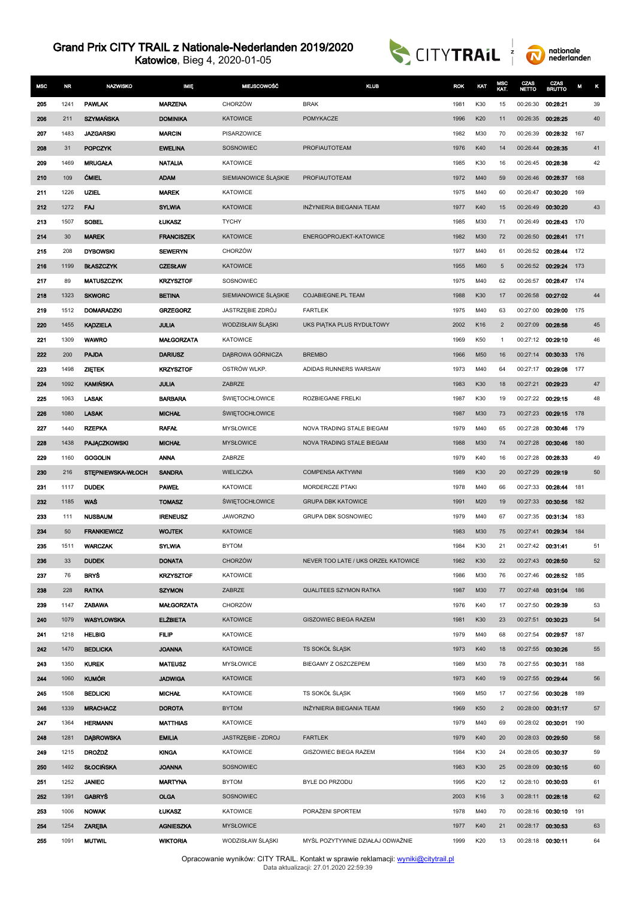Katowice, Bieg 4, 2020-01-05





| <b>MSC</b> | <b>NR</b> | <b>NAZWISKO</b>    | <b>MIE</b>        | <b>MIEJSCOWOŚĆ</b>    | KLUB                                | <b>ROK</b> | KAT | MSC<br>KAT.    | CZAS<br><b>NETTO</b> | CZAS<br>BRUTTO    | M   | κ  |
|------------|-----------|--------------------|-------------------|-----------------------|-------------------------------------|------------|-----|----------------|----------------------|-------------------|-----|----|
| 205        | 1241      | <b>PAWLAK</b>      | <b>MARZENA</b>    | CHORZÓW               | <b>BRAK</b>                         | 1981       | K30 | 15             | 00:26:30             | 00:28:21          |     | 39 |
| 206        | 211       | <b>SZYMAŃSKA</b>   | <b>DOMINIKA</b>   | <b>KATOWICE</b>       | POMYKACZE                           | 1996       | K20 | 11             | 00:26:35             | 00:28:25          |     | 40 |
| 207        | 1483      | <b>JAZGARSKI</b>   | <b>MARCIN</b>     | PISARZOWICE           |                                     | 1982       | M30 | 70             | 00:26:39             | 00:28:32          | 167 |    |
| 208        | 31        | <b>POPCZYK</b>     | <b>EWELINA</b>    | SOSNOWIEC             | PROFIAUTOTEAM                       | 1976       | K40 | 14             | 00:26:44             | 00:28:35          |     | 41 |
| 209        | 1469      | <b>MRUGALA</b>     | <b>NATALIA</b>    | <b>KATOWICE</b>       |                                     | 1985       | K30 | 16             | 00:26:45             | 00:28:38          |     | 42 |
| 210        | 109       | <b>CMIEL</b>       | <b>ADAM</b>       | SIEMIANOWICE ŚLĄSKIE  | PROFIAUTOTEAM                       | 1972       | M40 | 59             | 00:26:46             | 00:28:37          | 168 |    |
| 211        | 1226      | <b>UZIEL</b>       | <b>MAREK</b>      | <b>KATOWICE</b>       |                                     | 1975       | M40 | 60             | 00:26:47             | 00:30:20          | 169 |    |
| 212        | 1272      | FAJ                | <b>SYLWIA</b>     | <b>KATOWICE</b>       | INŻYNIERIA BIEGANIA TEAM            | 1977       | K40 | 15             | 00:26:49             | 00:30:20          |     | 43 |
| 213        | 1507      | <b>SOBEL</b>       | <b>LUKASZ</b>     | <b>TYCHY</b>          |                                     | 1985       | M30 | 71             | 00:26:49             | 00:28:43          | 170 |    |
| 214        | 30        | <b>MAREK</b>       | <b>FRANCISZEK</b> | <b>KATOWICE</b>       | ENERGOPROJEKT-KATOWICE              | 1982       | M30 | 72             | 00:26:50             | 00:28:41          | 171 |    |
| 215        | 208       | <b>DYBOWSKI</b>    | <b>SEWERYN</b>    | CHORZÓW               |                                     | 1977       | M40 | 61             | 00:26:52             | 00:28:44          | 172 |    |
| 216        | 1199      | <b>BLASZCZYK</b>   | <b>CZESŁAW</b>    | <b>KATOWICE</b>       |                                     | 1955       | M60 | 5              | 00:26:52             | 00:29:24          | 173 |    |
| 217        | 89        | <b>MATUSZCZYK</b>  | <b>KRZYSZTOF</b>  | SOSNOWIEC             |                                     | 1975       | M40 | 62             | 00:26:57             | 00:28:47          | 174 |    |
| 218        | 1323      | <b>SKWORC</b>      | <b>BETINA</b>     | SIEMIANOWICE ŚLĄSKIE  | <b>COJABIEGNE.PL TEAM</b>           | 1988       | K30 | 17             | 00:26:58             | 00:27:02          |     | 44 |
| 219        | 1512      | <b>DOMARADZKI</b>  | <b>GRZEGORZ</b>   | JASTRZĘBIE ZDRÓJ      | <b>FARTLEK</b>                      | 1975       | M40 | 63             | 00:27:00             | 00:29:00          | 175 |    |
| 220        | 1455      | <b>KĄDZIELA</b>    | <b>JULIA</b>      | WODZISŁAW ŚLĄSKI      | UKS PIĄTKA PLUS RYDUŁTOWY           | 2002       | K16 | $\overline{2}$ | 00:27:09             | 00:28:58          |     | 45 |
| 221        | 1309      | <b>WAWRO</b>       | <b>MALGORZATA</b> | <b>KATOWICE</b>       |                                     | 1969       | K50 | $\overline{1}$ |                      | 00:27:12 00:29:10 |     | 46 |
| 222        | 200       | <b>PAJDA</b>       | <b>DARIUSZ</b>    | DĄBROWA GÓRNICZA      | <b>BREMBO</b>                       | 1966       | M50 | 16             | 00:27:14             | 00:30:33          | 176 |    |
| 223        | 1498      | <b>ZIETEK</b>      | <b>KRZYSZTOF</b>  | OSTRÓW WLKP.          | ADIDAS RUNNERS WARSAW               | 1973       | M40 | 64             | 00:27:17             | 00:29:08          | 177 |    |
| 224        | 1092      | <b>KAMIŃSKA</b>    | <b>JULIA</b>      | ZABRZE                |                                     | 1983       | K30 | 18             | 00:27:21             | 00:29:23          |     | 47 |
| 225        | 1063      | <b>LASAK</b>       | <b>BARBARA</b>    | <b>ŚWIĘTOCHŁOWICE</b> | ROZBIEGANE FRELKI                   | 1987       | K30 | 19             | 00:27:22             | 00:29:15          |     | 48 |
| 226        | 1080      | <b>LASAK</b>       | <b>MICHAL</b>     | <b>ŚWIĘTOCHŁOWICE</b> |                                     | 1987       | M30 | 73             | 00:27:23             | 00:29:15          | 178 |    |
| 227        | 1440      | <b>RZEPKA</b>      | <b>RAFAL</b>      | <b>MYSŁOWICE</b>      | NOVA TRADING STALE BIEGAM           | 1979       | M40 | 65             | 00:27:28             | 00:30:46          | 179 |    |
| 228        | 1438      | PAJĄCZKOWSKI       | <b>MICHAL</b>     | <b>MYSŁOWICE</b>      | NOVA TRADING STALE BIEGAM           | 1988       | M30 | 74             | 00:27:28             | 00:30:46          | 180 |    |
| 229        | 1160      | <b>GOGOLIN</b>     | <b>ANNA</b>       | ZABRZE                |                                     | 1979       | K40 | 16             | 00:27:28             | 00:28:33          |     | 49 |
| 230        | 216       | STEPNIEWSKA-WŁOCH  | <b>SANDRA</b>     | <b>WIELICZKA</b>      | <b>COMPENSA AKTYWNI</b>             | 1989       | K30 | 20             | 00:27:29             | 00:29:19          |     | 50 |
| 231        | 1117      | <b>DUDEK</b>       | <b>PAWEL</b>      | <b>KATOWICE</b>       | MORDERCZE PTAKI                     | 1978       | M40 | 66             | 00:27:33             | 00:28:44          | 181 |    |
| 232        | 1185      | WAŚ                | <b>TOMASZ</b>     | <b>ŚWIĘTOCHŁOWICE</b> | <b>GRUPA DBK KATOWICE</b>           | 1991       | M20 | 19             | 00:27:33             | 00:30:56          | 182 |    |
| 233        | 111       | <b>NUSBAUM</b>     | <b>IRENEUSZ</b>   | <b>JAWORZNO</b>       | <b>GRUPA DBK SOSNOWIEC</b>          | 1979       | M40 | 67             | 00:27:35             | 00:31:34          | 183 |    |
| 234        | 50        | <b>FRANKIEWICZ</b> | <b>WOJTEK</b>     | <b>KATOWICE</b>       |                                     | 1983       | M30 | 75             | 00:27:41             | 00:29:34          | 184 |    |
| 235        | 1511      | <b>WARCZAK</b>     | <b>SYLWIA</b>     | <b>BYTOM</b>          |                                     | 1984       | K30 | 21             | 00:27:42             | 00:31:41          |     | 51 |
| 236        | 33        | <b>DUDEK</b>       | <b>DONATA</b>     | <b>CHORZÓW</b>        | NEVER TOO LATE / UKS ORZEŁ KATOWICE | 1982       | K30 | 22             | 00:27:43 00:28:50    |                   |     | 52 |
| 237        | 76        | <b>BRYS</b>        | <b>KRZYSZTOF</b>  | <b>KATOWICE</b>       |                                     | 1986       | M30 | 76             |                      | 00:27:46 00:28:52 | 185 |    |
| 238        | 228       | <b>RATKA</b>       | <b>SZYMON</b>     | ZABRZE                | <b>QUALITEES SZYMON RATKA</b>       | 1987       | M30 | 77             | 00:27:48             | 00:31:04          | 186 |    |
| 239        | 1147      | <b>ZABAWA</b>      | <b>MALGORZATA</b> | CHORZÓW               |                                     | 1976       | K40 | 17             | 00:27:50             | 00:29:39          |     | 53 |
| 240        | 1079      | <b>WASYLOWSKA</b>  | <b>ELZBIETA</b>   | <b>KATOWICE</b>       | GISZOWIEC BIEGA RAZEM               | 1981       | K30 | 23             | 00:27:51 00:30:23    |                   |     | 54 |
| 241        | 1218      | <b>HELBIG</b>      | <b>FILIP</b>      | <b>KATOWICE</b>       |                                     | 1979       | M40 | 68             | 00:27:54             | 00:29:57          | 187 |    |
| 242        | 1470      | <b>BEDLICKA</b>    | <b>JOANNA</b>     | <b>KATOWICE</b>       | TS SOKÓŁ ŚLĄSK                      | 1973       | K40 | 18             | 00:27:55 00:30:26    |                   |     | 55 |
| 243        | 1350      | <b>KUREK</b>       | <b>MATEUSZ</b>    | <b>MYSŁOWICE</b>      | BIEGAMY Z OSZCZEPEM                 | 1989       | M30 | 78             | 00:27:55             | 00:30:31          | 188 |    |
| 244        | 1060      | <b>KUMÓR</b>       | <b>JADWIGA</b>    | <b>KATOWICE</b>       |                                     | 1973       | K40 | 19             | 00:27:55 00:29:44    |                   |     | 56 |
| 245        | 1508      | <b>BEDLICKI</b>    | <b>MICHAL</b>     | <b>KATOWICE</b>       | TS SOKÓŁ ŚLĄSK                      | 1969       | M50 | 17             | 00:27:56             | 00:30:28          | 189 |    |
| 246        | 1339      | <b>MRACHACZ</b>    | <b>DOROTA</b>     | <b>BYTOM</b>          | INŻYNIERIA BIEGANIA TEAM            | 1969       | K50 | $\overline{2}$ | 00:28:00             | 00:31:17          |     | 57 |
| 247        | 1364      | <b>HERMANN</b>     | <b>MATTHIAS</b>   | <b>KATOWICE</b>       |                                     | 1979       | M40 | 69             | 00:28:02             | 00:30:01          | 190 |    |
| 248        | 1281      | <b>DABROWSKA</b>   | <b>EMILIA</b>     | JASTRZĘBIE - ZDROJ    | <b>FARTLEK</b>                      | 1979       | K40 | 20             | 00:28:03             | 00:29:50          |     | 58 |
| 249        | 1215      | <b>DROŻDŻ</b>      | <b>KINGA</b>      | <b>KATOWICE</b>       | GISZOWIEC BIEGA RAZEM               | 1984       | K30 | 24             | 00:28:05 00:30:37    |                   |     | 59 |
| 250        | 1492      | <b>SŁOCIŃSKA</b>   | <b>JOANNA</b>     | SOSNOWIEC             |                                     | 1983       | K30 | 25             | 00:28:09 00:30:15    |                   |     | 60 |
| 251        | 1252      | <b>JANIEC</b>      | <b>MARTYNA</b>    | <b>BYTOM</b>          | BYLE DO PRZODU                      | 1995       | K20 | 12             | 00:28:10 00:30:03    |                   |     | 61 |
| 252        | 1391      | <b>GABRYS</b>      | <b>OLGA</b>       | SOSNOWIEC             |                                     | 2003       | K16 | 3              | 00:28:11 00:28:18    |                   |     | 62 |
| 253        | 1006      | <b>NOWAK</b>       | <b>LUKASZ</b>     | <b>KATOWICE</b>       | PORAŻENI SPORTEM                    | 1978       | M40 | 70             | 00:28:16             | 00:30:10          | 191 |    |
| 254        | 1254      | <b>ZAREBA</b>      | <b>AGNIESZKA</b>  | <b>MYSŁOWICE</b>      |                                     | 1977       | K40 | 21             | 00:28:17 00:30:53    |                   |     | 63 |
| 255        | 1091      | <b>MUTWIL</b>      | <b>WIKTORIA</b>   | WODZISŁAW ŚLĄSKI      | MYŚL POZYTYWNIE DZIAŁAJ ODWAŻNIE    | 1999       | K20 | 13             | 00:28:18 00:30:11    |                   |     | 64 |

Opracowanie wyników: CITY TRAIL. Kontakt w sprawie reklamacji: <u>[wyniki@citytrail.pl](mailto: wyniki@citytrail.pl)</u><br>Data aktualizacji: 27.01.2020 22:59:39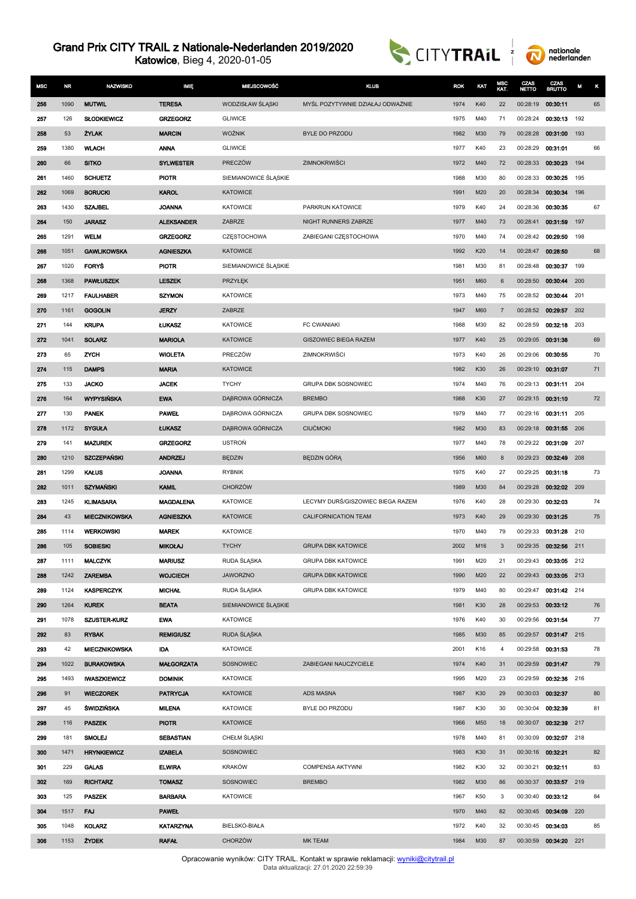Katowice, Bieg 4, 2020-01-05





| <b>MSC</b> | <b>NR</b>  | <b>NAZWISKO</b>                | <b>IMIĘ</b>                      | <b>MIEJSCOWOŚĆ</b>                 | <b>KLUB</b>                       | <b>ROK</b>   | KAT        | MSC<br>KAT.    | CZAS<br><b>NETTO</b> | CZAS<br><b>BRUTTO</b> | М   | κ  |
|------------|------------|--------------------------------|----------------------------------|------------------------------------|-----------------------------------|--------------|------------|----------------|----------------------|-----------------------|-----|----|
| 256        | 1090       | <b>MUTWIL</b>                  | <b>TERESA</b>                    | WODZISŁAW ŚLĄSKI                   | MYŚL POZYTYWNIE DZIAŁAJ ODWAŻNIE  | 1974         | K40        | 22             | 00:28:19             | 00:30:11              |     | 65 |
| 257        | 126        | <b>SŁODKIEWICZ</b>             | <b>GRZEGORZ</b>                  | <b>GLIWICE</b>                     |                                   | 1975         | M40        | 71             | 00:28:24             | 00:30:13              | 192 |    |
| 258        | 53         | <b>ZYLAK</b>                   | <b>MARCIN</b>                    | <b>WOŹNIK</b>                      | <b>BYLE DO PRZODU</b>             | 1982         | M30        | 79             | 00:28:28             | 00:31:00              | 193 |    |
| 259        | 1380       | <b>WLACH</b>                   | <b>ANNA</b>                      | <b>GLIWICE</b>                     |                                   | 1977         | K40        | 23             | 00:28:29             | 00:31:01              |     | 66 |
| 260        | 66         | <b>SITKO</b>                   | <b>SYLWESTER</b>                 | PRECZÓW                            | ZIMNOKRWIŚCI                      | 1972         | M40        | 72             | 00:28:33             | 00:30:23              | 194 |    |
| 261        | 1460       | <b>SCHUETZ</b>                 | <b>PIOTR</b>                     | SIEMIANOWICE ŚLĄSKIE               |                                   | 1988         | M30        | 80             | 00:28:33             | 00:30:25              | 195 |    |
| 262        | 1069       | <b>BORUCKI</b>                 | <b>KAROL</b>                     | <b>KATOWICE</b>                    |                                   | 1991         | M20        | 20             | 00:28:34             | 00:30:34              | 196 |    |
| 263        | 1430       | <b>SZAJBEL</b>                 | <b>JOANNA</b>                    | <b>KATOWICE</b>                    | PARKRUN KATOWICE                  | 1979         | K40        | 24             | 00:28:36             | 00:30:35              |     | 67 |
| 264        | 150        | <b>JARASZ</b>                  | <b>ALEKSANDER</b>                | ZABRZE                             | NIGHT RUNNERS ZABRZE              | 1977         | M40        | 73             | 00:28:41             | 00:31:59              | 197 |    |
| 265        | 1291       | <b>WELM</b>                    | <b>GRZEGORZ</b>                  | CZESTOCHOWA                        | ZABIEGANI CZĘSTOCHOWA             | 1970         | M40        | 74             | 00:28:42             | 00:29:50              | 198 |    |
| 266        | 1051       | <b>GAWLIKOWSKA</b>             | <b>AGNIESZKA</b>                 | <b>KATOWICE</b>                    |                                   | 1992         | K20        | 14             | 00:28:47             | 00:28:50              |     | 68 |
| 267        | 1020       | <b>FORYS</b>                   | <b>PIOTR</b>                     | SIEMIANOWICE ŚLĄSKIE               |                                   | 1981         | M30        | 81             | 00:28:48             | 00:30:37              | 199 |    |
| 268        | 1368       | <b>PAWŁUSZEK</b>               | <b>LESZEK</b>                    | PRZYŁEK                            |                                   | 1951         | <b>M60</b> | 6              | 00:28:50             | 00:30:44              | 200 |    |
| 269        | 1217       | <b>FAULHABER</b>               | <b>SZYMON</b>                    | <b>KATOWICE</b>                    |                                   | 1973         | M40        | 75             | 00:28:52             | 00:30:44              | 201 |    |
| 270        | 1161       | <b>GOGOLIN</b>                 | <b>JERZY</b>                     | ZABRZE                             |                                   | 1947         | M60        | $\overline{7}$ | 00:28:52             | 00:29:57              | 202 |    |
| 271        | 144        | <b>KRUPA</b>                   | <b>LUKASZ</b>                    | KATOWICE                           | FC CWANIAKI                       | 1988         | M30        | 82             | 00:28:59             | 00:32:18              | 203 |    |
| 272        | 1041       | <b>SOLARZ</b>                  | <b>MARIOLA</b>                   | <b>KATOWICE</b>                    | <b>GISZOWIEC BIEGA RAZEM</b>      | 1977         | K40        | 25             | 00:29:05             | 00:31:38              |     | 69 |
| 273        | 65         | ZYCH                           | <b>WIOLETA</b>                   | PRECZÓW                            | ZIMNOKRWIŚCI                      | 1973         | K40        | 26             | 00:29:06             | 00:30:55              |     | 70 |
| 274        | 115        | <b>DAMPS</b>                   | <b>MARIA</b>                     | <b>KATOWICE</b>                    |                                   | 1982         | K30        | 26             | 00:29:10             | 00:31:07              |     | 71 |
| 275        | 133        | <b>JACKO</b>                   | <b>JACEK</b>                     | <b>TYCHY</b>                       | GRUPA DBK SOSNOWIEC               | 1974         | M40        | 76             | 00:29:13             | 00:31:11              | 204 |    |
| 276        | 164        | <b>WYPYSIŃSKA</b>              | <b>EWA</b>                       | DĄBROWA GÓRNICZA                   | <b>BREMBO</b>                     | 1988         | K30        | 27             | 00:29:15             | 00:31:10              |     | 72 |
| 277        | 130        | <b>PANEK</b>                   | <b>PAWEL</b>                     | DĄBROWA GÓRNICZA                   | GRUPA DBK SOSNOWIEC               | 1979         | M40        | 77             | 00:29:16             | 00:31:11              | 205 |    |
| 278        | 1172       | <b>SYGUŁA</b>                  | <b>LUKASZ</b>                    | DĄBROWA GÓRNICZA                   | <b>CIUCMOKI</b>                   | 1982         | M30        | 83             | 00:29:18             | 00:31:55              | 206 |    |
| 279        | 141        | <b>MAZUREK</b>                 | <b>GRZEGORZ</b>                  | <b>USTRON</b>                      |                                   | 1977         | M40        | 78             | 00:29:22             | 00:31:09              | 207 |    |
| 280        | 1210       | <b>SZCZEPAŃSKI</b>             | <b>ANDRZEJ</b>                   | <b>BĘDZIN</b>                      | BEDZIN GÓRA                       | 1956         | M60        | 8              | 00:29:23             | 00:32:49              | 208 |    |
| 281        | 1299       | <b>KAŁUS</b>                   | <b>JOANNA</b>                    | <b>RYBNIK</b>                      |                                   | 1975         | K40        | 27             | 00:29:25             | 00:31:18              |     | 73 |
| 282        | 1011       | <b>SZYMAŃSKI</b>               | <b>KAMIL</b>                     | <b>CHORZÓW</b>                     |                                   | 1989         | M30        | 84             | 00:29:28             | 00:32:02              | 209 |    |
| 283        | 1245       | <b>KLIMASARA</b>               | <b>MAGDALENA</b>                 | <b>KATOWICE</b>                    | LECYMY DURŚ/GISZOWIEC BIEGA RAZEM | 1976         | K40        | 28             | 00:29:30             | 00:32:03              |     | 74 |
| 284        | 43         | <b>MIECZNIKOWSKA</b>           | <b>AGNIESZKA</b>                 | <b>KATOWICE</b>                    | <b>CALIFORNICATION TEAM</b>       | 1973         | K40        | 29             | 00:29:30             | 00:31:25              |     | 75 |
| 285        | 1114       | <b>WERKOWSKI</b>               | <b>MAREK</b>                     | <b>KATOWICE</b>                    |                                   | 1970         | M40        | 79             | 00:29:33             | 00:31:28              | 210 |    |
| 286        | 105        | <b>SOBIESKI</b>                | <b>MIKOŁAJ</b>                   | <b>TYCHY</b>                       | <b>GRUPA DBK KATOWICE</b>         | 2002         | M16        | 3              | 00:29:35             | 00:32:56              | 211 |    |
| 287        | 1111       | <b>MALCZYK</b>                 | <b>MARIUSZ</b>                   | RUDA ŚLĄSKA                        | <b>GRUPA DBK KATOWICE</b>         | 1991         | M20        | 21             | 00:29:43             | 00:33:05 212          |     |    |
| 288        | 1242       | <b>ZAREMBA</b>                 | <b>WOJCIECH</b>                  | <b>JAWORZNO</b>                    | <b>GRUPA DBK KATOWICE</b>         | 1990         | M20        | 22             | 00:29:43             | 00:33:05 213          |     |    |
| 289        | 1124       | <b>KASPERCZYK</b>              | <b>MICHAL</b>                    | RUDA ŚLĄSKA                        | <b>GRUPA DBK KATOWICE</b>         | 1979         | M40        | 80             | 00:29:47             | 00:31:42 214          |     |    |
| 290        | 1264       | <b>KUREK</b>                   | <b>BEATA</b>                     | SIEMIANOWICE ŚLĄSKIE               |                                   | 1981         | K30        | 28             | 00:29:53             | 00:33:12              |     | 76 |
| 291        | 1078       | <b>SZUSTER-KURZ</b>            | <b>EWA</b>                       | <b>KATOWICE</b>                    |                                   | 1976         | K40        | 30             | 00:29:56             | 00:31:54              |     | 77 |
| 292        | 83         | <b>RYBAK</b>                   | <b>REMIGIUSZ</b>                 | RUDA ŚLĄŚKA                        |                                   | 1985         | M30        | 85             | 00:29:57             | 00:31:47 215          |     |    |
| 293        | 42         | <b>MIECZNIKOWSKA</b>           | <b>IDA</b>                       | KATOWICE                           |                                   | 2001         | K16        | 4              | 00:29:58             | 00:31:53              |     | 78 |
| 294        | 1022       | <b>BURAKOWSKA</b>              | <b>MALGORZATA</b>                | SOSNOWIEC                          | ZABIEGANI NAUCZYCIELE             | 1974         | K40        | 31             | 00:29:59             | 00:31:47              |     | 79 |
| 295        | 1493       | <b>IWASZKIEWICZ</b>            | <b>DOMINIK</b>                   | <b>KATOWICE</b>                    |                                   | 1995         | M20        | 23             | 00:29:59             | 00:32:36              | 216 |    |
| 296        | 91         | <b>WIECZOREK</b>               | <b>PATRYCJA</b>                  | <b>KATOWICE</b>                    | ADS MASNA                         | 1987         | K30        | 29             | 00:30:03             | 00:32:37              |     | 80 |
| 297        | 45         | ŚWIDZIŃSKA                     | <b>MILENA</b>                    | <b>KATOWICE</b><br><b>KATOWICE</b> | BYLE DO PRZODU                    | 1987         | K30        | 30             | 00:30:04             | 00:32:39              | 217 | 81 |
| 298<br>299 | 116<br>181 | <b>PASZEK</b><br><b>SMOLEJ</b> | <b>PIOTR</b><br><b>SEBASTIAN</b> | CHEŁM ŚLĄSKI                       |                                   | 1966<br>1978 | M50<br>M40 | 18<br>81       | 00:30:07<br>00:30:09 | 00:32:39<br>00:32:07  | 218 |    |
| 300        | 1471       | <b>HRYNKIEWICZ</b>             | <b>IZABELA</b>                   | SOSNOWIEC                          |                                   | 1983         | K30        | 31             | 00:30:16             | 00:32:21              |     | 82 |
| 301        | 229        | <b>GALAS</b>                   | <b>ELWIRA</b>                    | <b>KRAKÓW</b>                      | COMPENSA AKTYWNI                  | 1982         | K30        | 32             | 00:30:21             | 00:32:11              |     | 83 |
| 302        | 169        | <b>RICHTARZ</b>                | <b>TOMASZ</b>                    | SOSNOWIEC                          | <b>BREMBO</b>                     | 1982         | M30        | 86             | 00:30:37             | 00:33:57              | 219 |    |
| 303        | 125        | <b>PASZEK</b>                  | <b>BARBARA</b>                   | <b>KATOWICE</b>                    |                                   | 1967         | K50        | 3              | 00:30:40             | 00.33.12              |     | 84 |
| 304        | 1517       | <b>FAJ</b>                     | <b>PAWEL</b>                     |                                    |                                   | 1970         | M40        | 82             |                      | 00:30:45 00:34:09     | 220 |    |
| 305        | 1048       | <b>KOLARZ</b>                  | <b>KATARZYNA</b>                 | BIELSKO-BIAŁA                      |                                   | 1972         | K40        | 32             | 00:30:45             | 00:34:03              |     | 85 |
| 306        | 1153       | <b>ŻYDEK</b>                   | <b>RAFAL</b>                     | CHORZÓW                            | <b>MK TEAM</b>                    | 1984         | M30        | 87             |                      | 00:30:59 00:34:20 221 |     |    |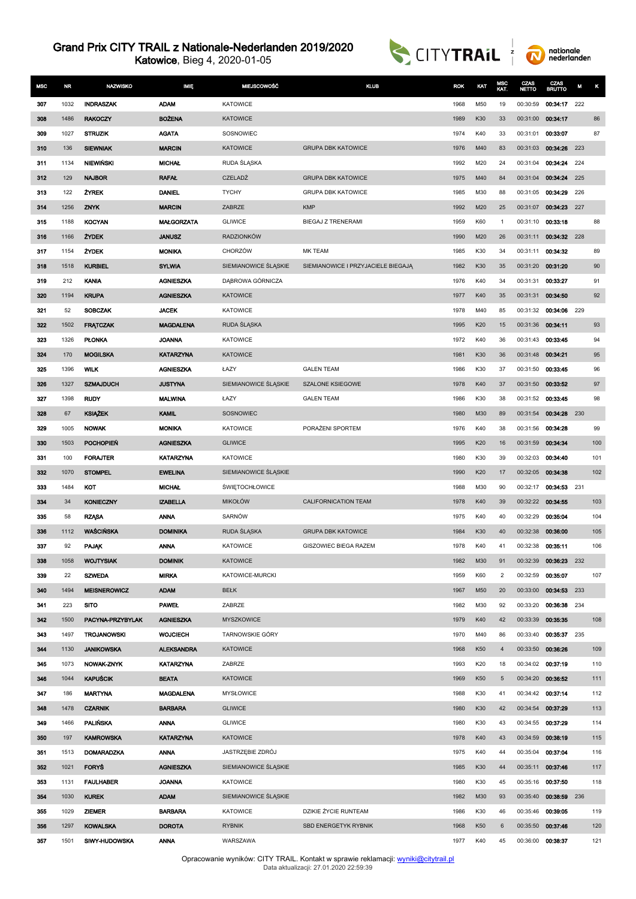Katowice, Bieg 4, 2020-01-05



nationale<br>nederlanden

| <b>MSC</b> | <b>NR</b>   | <b>NAZWISKO</b>                        | IMIĘ                                | <b>MIEJSCOWOŚĆ</b>          | <b>KLUB</b>                        | <b>ROK</b>   | KAT        | MSC<br>KAT.    | CZAS<br><b>NETTO</b> | CZAS<br><b>BRUTTO</b> | M   | κ   |
|------------|-------------|----------------------------------------|-------------------------------------|-----------------------------|------------------------------------|--------------|------------|----------------|----------------------|-----------------------|-----|-----|
| 307        | 1032        | <b>INDRASZAK</b>                       | <b>ADAM</b>                         | <b>KATOWICE</b>             |                                    | 1968         | M50        | 19             | 00:30:59             | 00:34:17              | 222 |     |
| 308        | 1486        | <b>RAKOCZY</b>                         | <b>BOŻENA</b>                       | <b>KATOWICE</b>             |                                    | 1989         | K30        | 33             | 00:31:00             | 00:34:17              |     | 86  |
| 309        | 1027        | <b>STRUZIK</b>                         | <b>AGATA</b>                        | SOSNOWIEC                   |                                    | 1974         | K40        | 33             | 00:31:01             | 00:33:07              |     | 87  |
| 310        | 136         | <b>SIEWNIAK</b>                        | <b>MARCIN</b>                       | <b>KATOWICE</b>             | <b>GRUPA DBK KATOWICE</b>          | 1976         | M40        | 83             | 00:31:03             | 00:34:26              | 223 |     |
| 311        | 1134        | NIEWIŃSKI                              | <b>MICHAL</b>                       | RUDA ŚLĄSKA                 |                                    | 1992         | M20        | 24             | 00:31:04             | 00:34:24              | 224 |     |
| 312        | 129         | <b>NAJBOR</b>                          | <b>RAFAL</b>                        | <b>CZELADŹ</b>              | <b>GRUPA DBK KATOWICE</b>          | 1975         | M40        | 84             | 00:31:04             | 00:34:24              | 225 |     |
| 313        | 122         | <b>ZYREK</b>                           | <b>DANIEL</b>                       | <b>TYCHY</b>                | <b>GRUPA DBK KATOWICE</b>          | 1985         | M30        | 88             | 00:31:05             | 00:34:29              | 226 |     |
| 314        | 1256        | <b>ZNYK</b>                            | <b>MARCIN</b>                       | ZABRZE                      | <b>KMP</b>                         | 1992         | M20        | 25             | 00:31:07             | 00:34:23              | 227 |     |
| 315        | 1188        | <b>KOCYAN</b>                          | <b>MAŁGORZATA</b>                   | <b>GLIWICE</b>              | BIEGAJ Z TRENERAMI                 | 1959         | K60        | $\mathbf{1}$   | 00:31:10             | 00:33:18              |     | 88  |
| 316        | 1166        | <b>ŻYDEK</b>                           | <b>JANUSZ</b>                       | <b>RADZIONKÓW</b>           |                                    | 1990         | M20        | 26             | 00:31:11             | 00:34:32              | 228 |     |
| 317        | 1154        | <b>ŻYDEK</b>                           | <b>MONIKA</b>                       | <b>CHORZÓW</b>              | <b>MK TEAM</b>                     | 1985         | K30        | 34             | 00:31:11             | 00:34:32              |     | 89  |
| 318        | 1518        | <b>KURBIEL</b>                         | <b>SYLWIA</b>                       | SIEMIANOWICE ŚLĄSKIE        | SIEMIANOWICE I PRZYJACIELE BIEGAJĄ | 1982         | K30        | 35             | 00:31:20             | 00:31:20              |     | 90  |
| 319        | 212         | <b>KANIA</b>                           | <b>AGNIESZKA</b>                    | DĄBROWA GÓRNICZA            |                                    | 1976         | K40        | 34             | 00:31:31             | 00:33:27              |     | 91  |
| 320        | 1194        | <b>KRUPA</b>                           | <b>AGNIESZKA</b>                    | <b>KATOWICE</b>             |                                    | 1977         | K40        | 35             | 00:31:31             | 00:34:50              |     | 92  |
| 321        | 52          | <b>SOBCZAK</b>                         | <b>JACEK</b>                        | <b>KATOWICE</b>             |                                    | 1978         | M40        | 85             | 00:31:32             | 00:34:06              | 229 |     |
| 322        | 1502        | <b>FRATCZAK</b>                        | <b>MAGDALENA</b>                    | RUDA SLĄSKA                 |                                    | 1995         | K20        | 15             | 00:31:36             | 00:34:11              |     | 93  |
| 323        | 1326        | <b>PLONKA</b>                          | <b>JOANNA</b>                       | <b>KATOWICE</b>             |                                    | 1972         | K40        | 36             | 00:31:43             | 00:33:45              |     | 94  |
| 324        | 170         | <b>MOGILSKA</b>                        | <b>KATARZYNA</b>                    | <b>KATOWICE</b>             |                                    | 1981         | K30        | 36             | 00:31:48             | 00:34:21              |     | 95  |
| 325        | 1396        | <b>WILK</b>                            | <b>AGNIESZKA</b>                    | ŁAZY                        | <b>GALEN TEAM</b>                  | 1986         | K30        | 37             | 00:31:50             | 00:33:45              |     | 96  |
| 326        | 1327        | <b>SZMAJDUCH</b>                       | <b>JUSTYNA</b>                      | SIEMIANOWICE ŚLĄSKIE        | <b>SZALONE KSIEGOWE</b>            | 1978         | K40        | 37             | 00:31:50             | 00:33:52              |     | 97  |
| 327        | 1398        | <b>RUDY</b>                            | <b>MALWINA</b>                      | ŁAZY                        | <b>GALEN TEAM</b>                  | 1986         | K30        | 38             | 00:31:52             | 00:33:45              |     | 98  |
| 328        | 67          | <b>KSIĄŻEK</b>                         | <b>KAMIL</b>                        | SOSNOWIEC                   |                                    | 1980         | M30        | 89             | 00:31:54             | 00:34:28              | 230 |     |
| 329        | 1005        | <b>NOWAK</b>                           | <b>MONIKA</b>                       | <b>KATOWICE</b>             | PORAŻENI SPORTEM                   | 1976         | K40        | 38             | 00:31:56             | 00:34:28              |     | 99  |
| 330        | 1503        | <b>POCHOPIEN</b>                       | <b>AGNIESZKA</b>                    | <b>GLIWICE</b>              |                                    | 1995         | K20        | 16             | 00:31:59             | 00:34:34              |     | 100 |
| 331        | 100         | <b>FORAJTER</b>                        | <b>KATARZYNA</b>                    | <b>KATOWICE</b>             |                                    | 1980         | K30        | 39             | 00:32:03             | 00:34:40              |     | 101 |
| 332        | 1070        | <b>STOMPEL</b>                         | <b>EWELINA</b>                      | SIEMIANOWICE ŚLĄSKIE        |                                    | 1990         | K20        | 17             | 00:32:05             | 00:34:38              |     | 102 |
| 333        | 1484        | KOT                                    | <b>MICHAL</b>                       | <b>ŚWIĘTOCHŁOWICE</b>       |                                    | 1988         | M30        | 90             | 00:32:17             | 00:34:53              | 231 |     |
| 334        | 34          | <b>KONIECZNY</b>                       | <b>IZABELLA</b>                     | <b>MIKOŁÓW</b>              | <b>CALIFORNICATION TEAM</b>        | 1978         | K40        | 39             | 00:32:22             | 00:34:55              |     | 103 |
| 335        | 58          | <b>RZĄSA</b>                           | <b>ANNA</b>                         | SARNÓW                      |                                    | 1975         | K40        | 40             | 00:32:29             | 00:35:04              |     | 104 |
| 336        | 1112        | <b>WAŚCIŃSKA</b>                       | <b>DOMINIKA</b>                     | RUDA ŚLĄSKA                 | <b>GRUPA DBK KATOWICE</b>          | 1984         | K30        | 40             | 00:32:38             | 00:36:00              |     | 105 |
| 337        | 92          | <b>PAJAK</b>                           | <b>ANNA</b>                         | <b>KATOWICE</b>             | GISZOWIEC BIEGA RAZEM              | 1978         | K40        | 41             | 00:32:38             | 00:35:11              |     | 106 |
| 338        | 1058        | <b>WOJTYSIAK</b>                       | <b>DOMINIK</b>                      | <b>KATOWICE</b>             |                                    | 1982         | M30        | 91             | 00:32:39             | 00:36:23              | 232 |     |
| 339        | 22          | <b>SZWEDA</b>                          | <b>MIRKA</b>                        | KATOWICE-MURCKI             |                                    | 1959         | K60        | $\overline{2}$ | 00:32:59             | 00:35:07              |     | 107 |
| 340        | 1494        | <b>MEISNEROWICZ</b>                    | <b>ADAM</b>                         | <b>BEŁK</b>                 |                                    | 1967         | M50        | 20             | 00:33:00             | 00:34:53              | 233 |     |
| 341<br>342 | 223<br>1500 | <b>SITO</b>                            | <b>PAWEL</b>                        | ZABRZE<br><b>MYSZKOWICE</b> |                                    | 1982         | M30        | 92             | 00:33:20             | 00:36:38              | 234 |     |
| 343        | 1497        | PACYNA-PRZYBYLAK<br><b>TROJANOWSKI</b> | <b>AGNIESZKA</b><br><b>WOJCIECH</b> | TARNOWSKIE GÓRY             |                                    | 1979         | K40<br>M40 | 42<br>86       | 00:33:39<br>00:33:40 | 00:35:35<br>00:35:37  | 235 | 108 |
| 344        | 1130        | <b>JANIKOWSKA</b>                      | <b>ALEKSANDRA</b>                   | <b>KATOWICE</b>             |                                    | 1970<br>1968 | K50        | $\overline{4}$ | 00:33:50             | 00:36:26              |     | 109 |
| 345        | 1073        | NOWAK-ZNYK                             | <b>KATARZYNA</b>                    | ZABRZE                      |                                    | 1993         | K20        | 18             | 00:34:02 00:37:19    |                       |     | 110 |
| 346        | 1044        | <b>KAPUŚCIK</b>                        | <b>BEATA</b>                        | <b>KATOWICE</b>             |                                    | 1969         | K50        | 5              | 00:34:20 00:36:52    |                       |     | 111 |
| 347        | 186         | <b>MARTYNA</b>                         | <b>MAGDALENA</b>                    | MYSŁOWICE                   |                                    | 1988         | K30        | 41             | 00:34:42 00:37:14    |                       |     | 112 |
| 348        | 1478        | <b>CZARNIK</b>                         | <b>BARBARA</b>                      | <b>GLIWICE</b>              |                                    | 1980         | K30        | 42             | 00:34:54             | 00:37:29              |     | 113 |
| 349        | 1466        | <b>PALIŃSKA</b>                        | <b>ANNA</b>                         | <b>GLIWICE</b>              |                                    | 1980         | K30        | 43             | 00:34:55             | 00:37:29              |     | 114 |
| 350        | 197         | <b>KAMROWSKA</b>                       | <b>KATARZYNA</b>                    | <b>KATOWICE</b>             |                                    | 1978         | K40        | 43             | 00:34:59 00:38:19    |                       |     | 115 |
| 351        | 1513        | <b>DOMARADZKA</b>                      | <b>ANNA</b>                         | JASTRZĘBIE ZDRÓJ            |                                    | 1975         | K40        | 44             | 00:35:04             | 00:37:04              |     | 116 |
| 352        | 1021        | <b>FORYS</b>                           | <b>AGNIESZKA</b>                    | SIEMIANOWICE ŚLĄSKIE        |                                    | 1985         | K30        | 44             | 00:35:11             | 00:37:46              |     | 117 |
| 353        | 1131        | <b>FAULHABER</b>                       | <b>JOANNA</b>                       | <b>KATOWICE</b>             |                                    | 1980         | K30        | 45             | 00:35:16 00:37:50    |                       |     | 118 |
| 354        | 1030        | <b>KUREK</b>                           | <b>ADAM</b>                         | SIEMIANOWICE ŚLĄSKIE        |                                    | 1982         | M30        | 93             | 00:35:40             | 00:38:59              | 236 |     |
| 355        | 1029        | <b>ZIEMER</b>                          | <b>BARBARA</b>                      | <b>KATOWICE</b>             | DZIKIE ŻYCIE RUNTEAM               | 1986         | K30        | 46             | 00:35:46 00:39:05    |                       |     | 119 |
| 356        | 1297        | <b>KOWALSKA</b>                        | <b>DOROTA</b>                       | <b>RYBNIK</b>               | SBD ENERGETYK RYBNIK               | 1968         | K50        | 6              | 00:35:50             | 00:37:46              |     | 120 |
| 357        | 1501        | SIWY-HUDOWSKA                          | <b>ANNA</b>                         | WARSZAWA                    |                                    | 1977         | K40        | 45             | 00:36:00 00:38:37    |                       |     | 121 |